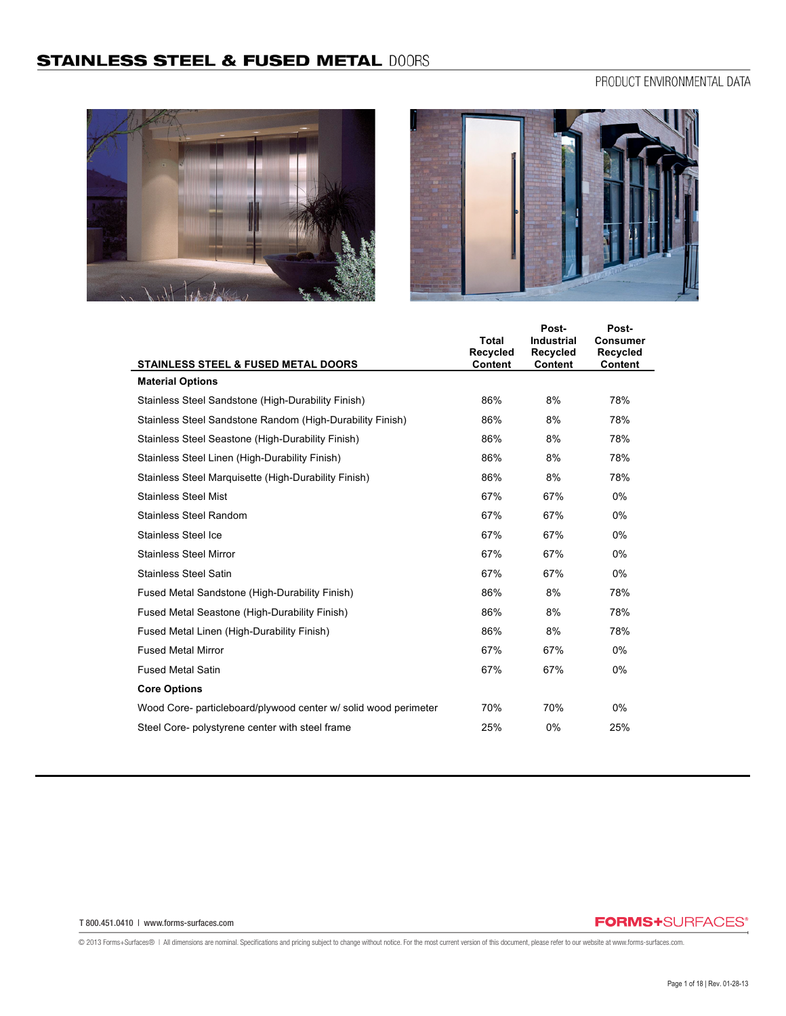# PRODUCT ENVIRONMENTAL DATA





|                                                                 | <b>Total</b><br><b>Recycled</b> | Post-<br><b>Industrial</b><br><b>Recycled</b> | Post-<br><b>Consumer</b><br>Recycled |
|-----------------------------------------------------------------|---------------------------------|-----------------------------------------------|--------------------------------------|
| STAINLESS STEEL & FUSED METAL DOORS                             | Content                         | <b>Content</b>                                | Content                              |
| <b>Material Options</b>                                         |                                 |                                               |                                      |
| Stainless Steel Sandstone (High-Durability Finish)              | 86%                             | 8%                                            | 78%                                  |
| Stainless Steel Sandstone Random (High-Durability Finish)       | 86%                             | 8%                                            | 78%                                  |
| Stainless Steel Seastone (High-Durability Finish)               | 86%                             | 8%                                            | 78%                                  |
| Stainless Steel Linen (High-Durability Finish)                  | 86%                             | 8%                                            | 78%                                  |
| Stainless Steel Marquisette (High-Durability Finish)            | 86%                             | 8%                                            | 78%                                  |
| <b>Stainless Steel Mist</b>                                     | 67%                             | 67%                                           | $0\%$                                |
| <b>Stainless Steel Random</b>                                   | 67%                             | 67%                                           | 0%                                   |
| Stainless Steel Ice                                             | 67%                             | 67%                                           | 0%                                   |
| <b>Stainless Steel Mirror</b>                                   | 67%                             | 67%                                           | 0%                                   |
| <b>Stainless Steel Satin</b>                                    | 67%                             | 67%                                           | $0\%$                                |
| Fused Metal Sandstone (High-Durability Finish)                  | 86%                             | 8%                                            | 78%                                  |
| Fused Metal Seastone (High-Durability Finish)                   | 86%                             | 8%                                            | 78%                                  |
| Fused Metal Linen (High-Durability Finish)                      | 86%                             | 8%                                            | 78%                                  |
| <b>Fused Metal Mirror</b>                                       | 67%                             | 67%                                           | 0%                                   |
| <b>Fused Metal Satin</b>                                        | 67%                             | 67%                                           | 0%                                   |
| <b>Core Options</b>                                             |                                 |                                               |                                      |
| Wood Core- particleboard/plywood center w/ solid wood perimeter | 70%                             | 70%                                           | $0\%$                                |
| Steel Core- polystyrene center with steel frame                 | 25%                             | 0%                                            | 25%                                  |

#### T 800.451.0410 | www.forms-surfaces.com

## **FORMS+**SURFACES®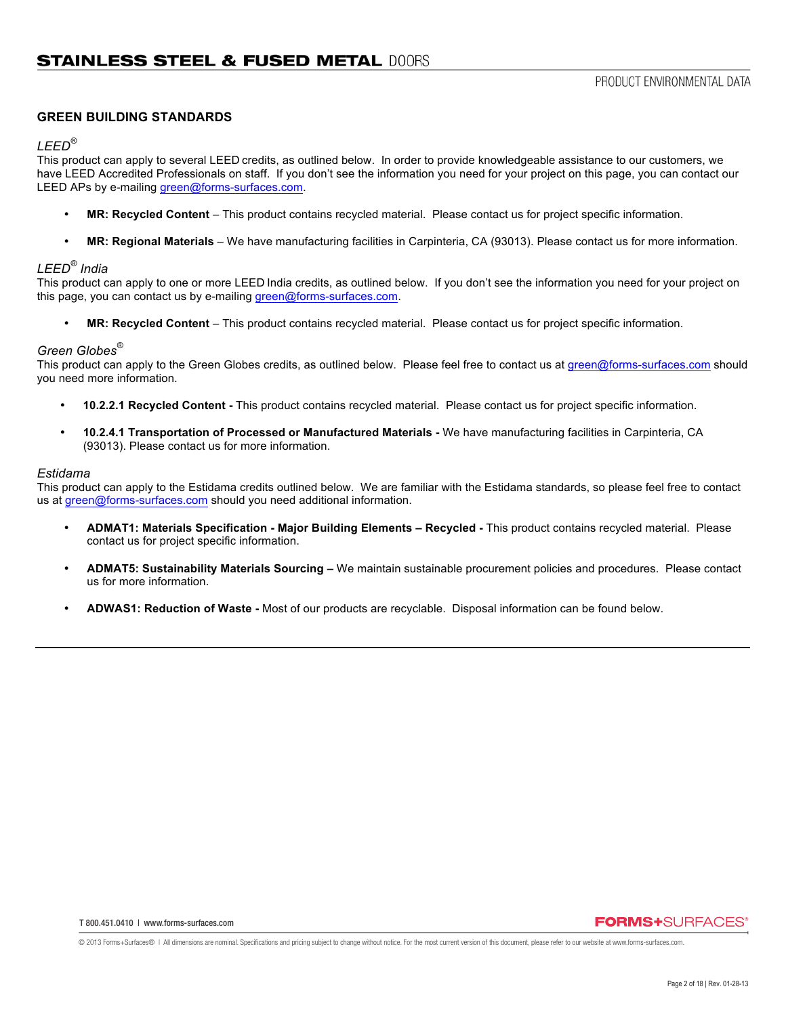### **GREEN BUILDING STANDARDS**

#### *LEED®*

This product can apply to several LEED credits, as outlined below. In order to provide knowledgeable assistance to our customers, we have LEED Accredited Professionals on staff. If you don't see the information you need for your project on this page, you can contact our LEED APs by e-mailing green@forms-surfaces.com.

- **MR: Recycled Content** This product contains recycled material. Please contact us for project specific information.
- **MR: Regional Materials**  We have manufacturing facilities in Carpinteria, CA (93013). Please contact us for more information.

## *LEED® India*

This product can apply to one or more LEED India credits, as outlined below. If you don't see the information you need for your project on this page, you can contact us by e-mailing green@forms-surfaces.com.

• **MR: Recycled Content** – This product contains recycled material. Please contact us for project specific information.

#### *Green Globes®*

This product can apply to the Green Globes credits, as outlined below. Please feel free to contact us at green@forms-surfaces.com should you need more information.

- **10.2.2.1 Recycled Content -** This product contains recycled material. Please contact us for project specific information.
- **10.2.4.1 Transportation of Processed or Manufactured Materials -** We have manufacturing facilities in Carpinteria, CA (93013). Please contact us for more information.

### *Estidama*

This product can apply to the Estidama credits outlined below. We are familiar with the Estidama standards, so please feel free to contact us at green@forms-surfaces.com should you need additional information.

- **ADMAT1: Materials Specification - Major Building Elements – Recycled -** This product contains recycled material. Please contact us for project specific information.
- **ADMAT5: Sustainability Materials Sourcing –** We maintain sustainable procurement policies and procedures. Please contact us for more information.
- **ADWAS1: Reduction of Waste -** Most of our products are recyclable. Disposal information can be found below.

## **FORMS+SURFACES**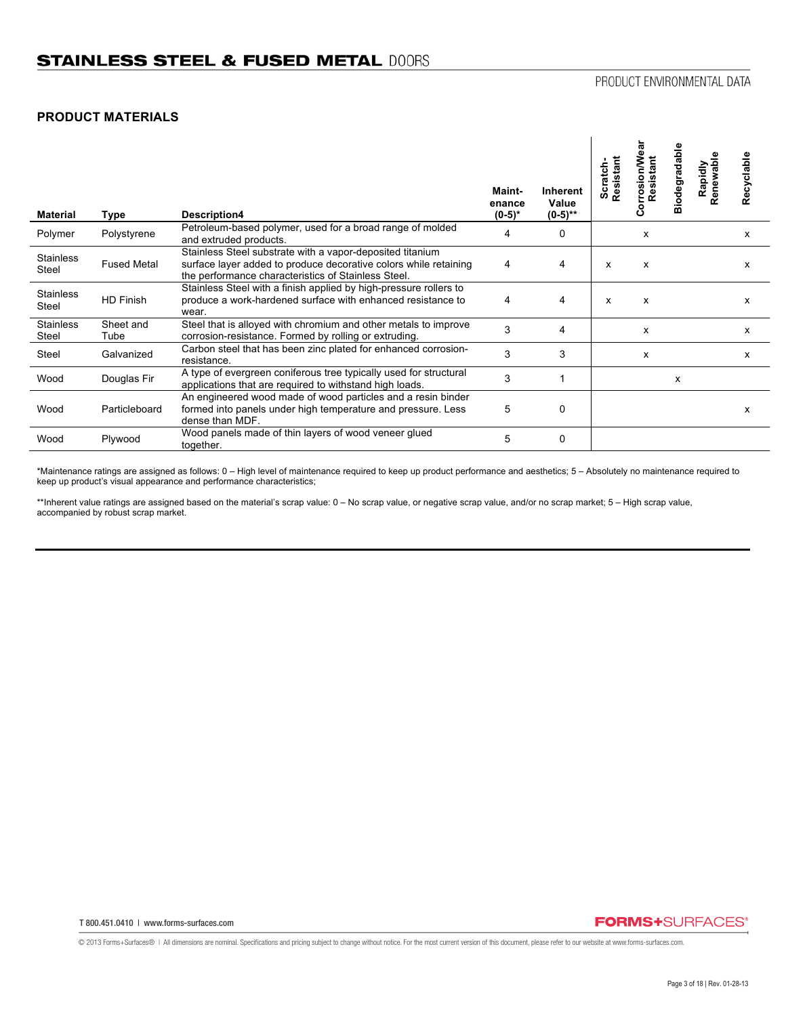## **PRODUCT MATERIALS**

| Material                  | Type               | Description4                                                                                                                                                                         | Maint-<br>enance<br>$(0-5)*$ | Inherent<br>Value<br>$(0-5)$ ** | Scratch-<br>Resistant | orrosion/We<br>Resistant<br>Ö | Biodegradable | Rapidly<br>tenewable<br>$\alpha$ | Recyclable |
|---------------------------|--------------------|--------------------------------------------------------------------------------------------------------------------------------------------------------------------------------------|------------------------------|---------------------------------|-----------------------|-------------------------------|---------------|----------------------------------|------------|
| Polymer                   | Polystyrene        | Petroleum-based polymer, used for a broad range of molded<br>and extruded products.                                                                                                  | 4                            | $\Omega$                        |                       | х                             |               |                                  | x          |
| <b>Stainless</b><br>Steel | <b>Fused Metal</b> | Stainless Steel substrate with a vapor-deposited titanium<br>surface layer added to produce decorative colors while retaining<br>the performance characteristics of Stainless Steel. | 4                            | 4                               | X                     | $\boldsymbol{\mathsf{x}}$     |               |                                  | x          |
| <b>Stainless</b><br>Steel | <b>HD Finish</b>   | Stainless Steel with a finish applied by high-pressure rollers to<br>produce a work-hardened surface with enhanced resistance to<br>wear.                                            | 4                            | 4                               | X                     | X                             |               |                                  | x          |
| <b>Stainless</b><br>Steel | Sheet and<br>Tube  | Steel that is alloyed with chromium and other metals to improve<br>corrosion-resistance. Formed by rolling or extruding.                                                             | 3                            | 4                               |                       | X                             |               |                                  | x          |
| Steel                     | Galvanized         | Carbon steel that has been zinc plated for enhanced corrosion-<br>resistance.                                                                                                        | 3                            | 3                               |                       | х                             |               |                                  | x          |
| Wood                      | Douglas Fir        | A type of evergreen coniferous tree typically used for structural<br>applications that are required to withstand high loads.                                                         | 3                            |                                 |                       |                               | X             |                                  |            |
| Wood                      | Particleboard      | An engineered wood made of wood particles and a resin binder<br>formed into panels under high temperature and pressure. Less<br>dense than MDF.                                      | 5                            | 0                               |                       |                               |               |                                  | x          |
| Wood                      | Plywood            | Wood panels made of thin layers of wood veneer glued<br>together.                                                                                                                    | 5                            | 0                               |                       |                               |               |                                  |            |

\*Maintenance ratings are assigned as follows: 0 – High level of maintenance required to keep up product performance and aesthetics; 5 – Absolutely no maintenance required to keep up product's visual appearance and performance characteristics;

\*\*Inherent value ratings are assigned based on the material's scrap value: 0 - No scrap value, or negative scrap value, and/or no scrap market; 5 - High scrap value, accompanied by robust scrap market.

## **FORMS+**SURFACES®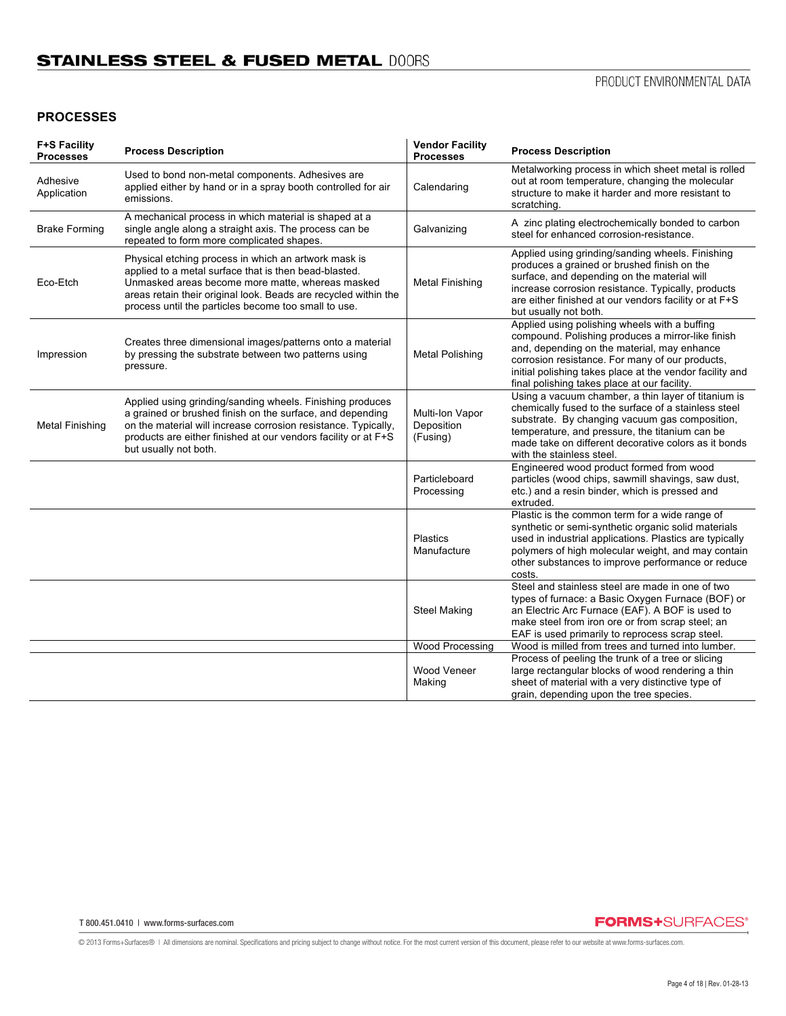## **PROCESSES**

| <b>F+S Facility</b><br><b>Processes</b> | <b>Process Description</b>                                                                                                                                                                                                                                                                   | <b>Vendor Facility</b><br><b>Processes</b> | <b>Process Description</b>                                                                                                                                                                                                                                                                                       |
|-----------------------------------------|----------------------------------------------------------------------------------------------------------------------------------------------------------------------------------------------------------------------------------------------------------------------------------------------|--------------------------------------------|------------------------------------------------------------------------------------------------------------------------------------------------------------------------------------------------------------------------------------------------------------------------------------------------------------------|
| Adhesive<br>Application                 | Used to bond non-metal components. Adhesives are<br>applied either by hand or in a spray booth controlled for air<br>emissions.                                                                                                                                                              | Calendaring                                | Metalworking process in which sheet metal is rolled<br>out at room temperature, changing the molecular<br>structure to make it harder and more resistant to<br>scratching.                                                                                                                                       |
| <b>Brake Forming</b>                    | A mechanical process in which material is shaped at a<br>single angle along a straight axis. The process can be<br>repeated to form more complicated shapes.                                                                                                                                 | Galvanizing                                | A zinc plating electrochemically bonded to carbon<br>steel for enhanced corrosion-resistance.                                                                                                                                                                                                                    |
| Eco-Etch                                | Physical etching process in which an artwork mask is<br>applied to a metal surface that is then bead-blasted.<br>Unmasked areas become more matte, whereas masked<br>areas retain their original look. Beads are recycled within the<br>process until the particles become too small to use. | Metal Finishing                            | Applied using grinding/sanding wheels. Finishing<br>produces a grained or brushed finish on the<br>surface, and depending on the material will<br>increase corrosion resistance. Typically, products<br>are either finished at our vendors facility or at F+S<br>but usually not both.                           |
| Impression                              | Creates three dimensional images/patterns onto a material<br>by pressing the substrate between two patterns using<br>pressure.                                                                                                                                                               | Metal Polishing                            | Applied using polishing wheels with a buffing<br>compound. Polishing produces a mirror-like finish<br>and, depending on the material, may enhance<br>corrosion resistance. For many of our products,<br>initial polishing takes place at the vendor facility and<br>final polishing takes place at our facility. |
| <b>Metal Finishing</b>                  | Applied using grinding/sanding wheels. Finishing produces<br>a grained or brushed finish on the surface, and depending<br>on the material will increase corrosion resistance. Typically,<br>products are either finished at our vendors facility or at F+S<br>but usually not both.          | Multi-Ion Vapor<br>Deposition<br>(Fusing)  | Using a vacuum chamber, a thin layer of titanium is<br>chemically fused to the surface of a stainless steel<br>substrate. By changing vacuum gas composition,<br>temperature, and pressure, the titanium can be<br>made take on different decorative colors as it bonds<br>with the stainless steel.             |
|                                         |                                                                                                                                                                                                                                                                                              | Particleboard<br>Processing                | Engineered wood product formed from wood<br>particles (wood chips, sawmill shavings, saw dust,<br>etc.) and a resin binder, which is pressed and<br>extruded.                                                                                                                                                    |
|                                         |                                                                                                                                                                                                                                                                                              | <b>Plastics</b><br>Manufacture             | Plastic is the common term for a wide range of<br>synthetic or semi-synthetic organic solid materials<br>used in industrial applications. Plastics are typically<br>polymers of high molecular weight, and may contain<br>other substances to improve performance or reduce<br>costs.                            |
|                                         |                                                                                                                                                                                                                                                                                              | <b>Steel Making</b>                        | Steel and stainless steel are made in one of two<br>types of furnace: a Basic Oxygen Furnace (BOF) or<br>an Electric Arc Furnace (EAF). A BOF is used to<br>make steel from iron ore or from scrap steel; an<br>EAF is used primarily to reprocess scrap steel.                                                  |
|                                         |                                                                                                                                                                                                                                                                                              | <b>Wood Processing</b>                     | Wood is milled from trees and turned into lumber.                                                                                                                                                                                                                                                                |
|                                         |                                                                                                                                                                                                                                                                                              | Wood Veneer<br>Making                      | Process of peeling the trunk of a tree or slicing<br>large rectangular blocks of wood rendering a thin<br>sheet of material with a very distinctive type of<br>grain, depending upon the tree species.                                                                                                           |

T 800.451.0410 | www.forms-surfaces.com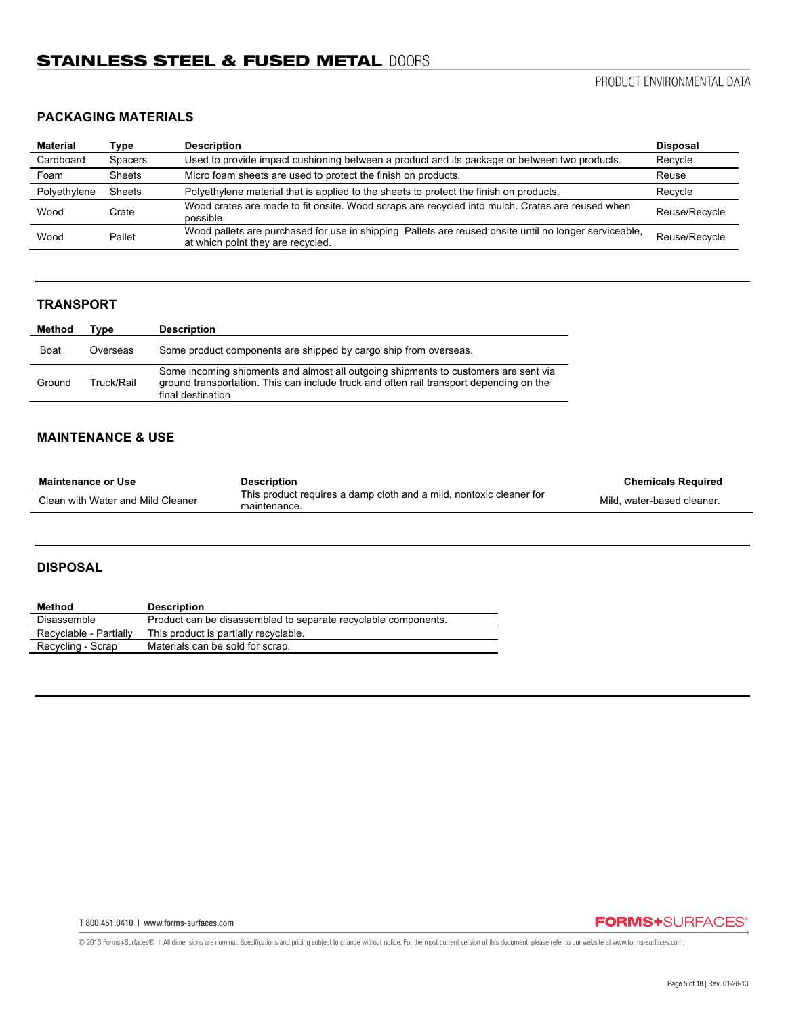## **PACKAGING MATERIALS**

| Material     | Type           | <b>Description</b>                                                                                                                          | <b>Disposal</b> |
|--------------|----------------|---------------------------------------------------------------------------------------------------------------------------------------------|-----------------|
| Cardboard    | <b>Spacers</b> | Used to provide impact cushioning between a product and its package or between two products.                                                | Recycle         |
| Foam         | <b>Sheets</b>  | Micro foam sheets are used to protect the finish on products.                                                                               | Reuse           |
| Polyethylene | Sheets         | Polyethylene material that is applied to the sheets to protect the finish on products.                                                      | Recycle         |
| Wood         | Crate          | Wood crates are made to fit onsite. Wood scraps are recycled into mulch. Crates are reused when<br>possible.                                | Reuse/Recycle   |
| Wood         | Pallet         | Wood pallets are purchased for use in shipping. Pallets are reused onsite until no longer serviceable,<br>at which point they are recycled. | Reuse/Recycle   |

## **TRANSPORT**

| Method      | Tvpe       | <b>Description</b>                                                                                                                                                                                   |
|-------------|------------|------------------------------------------------------------------------------------------------------------------------------------------------------------------------------------------------------|
| <b>Boat</b> | Overseas   | Some product components are shipped by cargo ship from overseas.                                                                                                                                     |
| Ground      | Truck/Rail | Some incoming shipments and almost all outgoing shipments to customers are sent via<br>ground transportation. This can include truck and often rail transport depending on the<br>final destination. |

## **MAINTENANCE & USE**

| Maintenance or Use                | <b>Description</b>                                                                  | <b>Chemicals Required</b>  |
|-----------------------------------|-------------------------------------------------------------------------------------|----------------------------|
| Clean with Water and Mild Cleaner | This product requires a damp cloth and a mild, nontoxic cleaner for<br>maintenance. | Mild, water-based cleaner. |

## **DISPOSAL**

| <b>Description</b>                                             |
|----------------------------------------------------------------|
| Product can be disassembled to separate recyclable components. |
| This product is partially recyclable.                          |
| Materials can be sold for scrap.                               |
|                                                                |

T 800.451.0410 | www.forms-surfaces.com

## **FORMS+**SURFACES®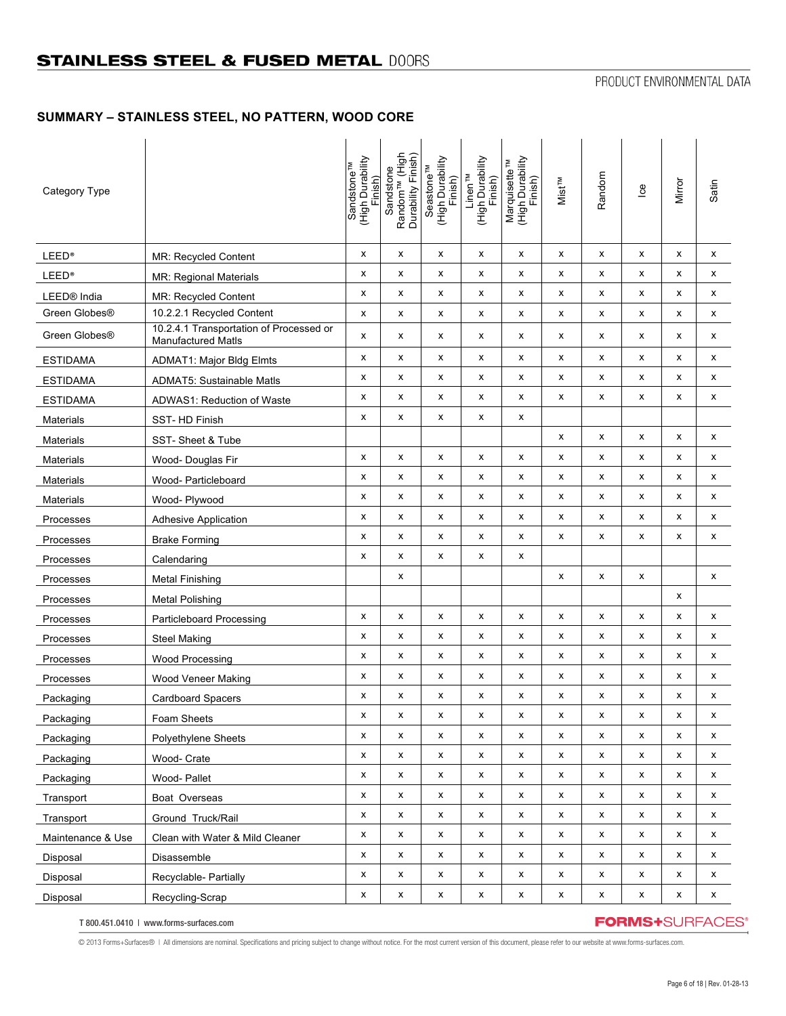## **SUMMARY – STAINLESS STEEL, NO PATTERN, WOOD CORE**

| Category Type             |                                                                      | High Durability)<br><sup>Sandstone™</sup><br>Finish) | Random <sup>TM</sup> (High<br>Durability Finish)<br>Sandstone | (High Durability<br>Seastone <sup>TM</sup><br>Finish) | (High Durability<br>Linen <sup>™</sup><br>Finish) | Marquisette <sup>TM</sup><br>(High Durability<br>Finish) | <b>Mist<sub>TM</sub></b> | Random | $\mathbf{e}$ | Mirror | Satin |
|---------------------------|----------------------------------------------------------------------|------------------------------------------------------|---------------------------------------------------------------|-------------------------------------------------------|---------------------------------------------------|----------------------------------------------------------|--------------------------|--------|--------------|--------|-------|
| <b>LEED®</b>              | <b>MR: Recycled Content</b>                                          | x                                                    | x                                                             | x                                                     | x                                                 | x                                                        | x                        | х      | x            | x      | x     |
| <b>LEED®</b>              | <b>MR: Regional Materials</b>                                        | x                                                    | x                                                             | x                                                     | x                                                 | x                                                        | x                        | x      | x            | x      | x     |
| LEED <sup>®</sup> India   | <b>MR: Recycled Content</b>                                          | x                                                    | x                                                             | x                                                     | x                                                 | x                                                        | x                        | x      | x            | x      | x     |
| Green Globes®             | 10.2.2.1 Recycled Content                                            | x                                                    | x                                                             | x                                                     | x                                                 | x                                                        | x                        | x      | x            | x      | x     |
| Green Globes <sup>®</sup> | 10.2.4.1 Transportation of Processed or<br><b>Manufactured Matls</b> | x                                                    | x                                                             | x                                                     | x                                                 | x                                                        | x                        | x      | x            | x      | x     |
| <b>ESTIDAMA</b>           | <b>ADMAT1: Major Bldg Elmts</b>                                      | x                                                    | x                                                             | x                                                     | x                                                 | x                                                        | x                        | x      | x            | x      | x     |
| <b>ESTIDAMA</b>           | <b>ADMAT5: Sustainable Matls</b>                                     | x                                                    | x                                                             | x                                                     | x                                                 | x                                                        | x                        | х      | x            | x      | x     |
| <b>ESTIDAMA</b>           | ADWAS1: Reduction of Waste                                           | x                                                    | x                                                             | x                                                     | x                                                 | x                                                        | x                        | x      | x            | x      | x     |
| <b>Materials</b>          | SST-HD Finish                                                        | x                                                    | x                                                             | x                                                     | х                                                 | х                                                        |                          |        |              |        |       |
| <b>Materials</b>          | SST-Sheet & Tube                                                     |                                                      |                                                               |                                                       |                                                   |                                                          | x                        | x      | x            | x      | x     |
| <b>Materials</b>          | Wood- Douglas Fir                                                    | x                                                    | x                                                             | x                                                     | x                                                 | x                                                        | x                        | x      | x            | x      | x     |
| <b>Materials</b>          | Wood- Particleboard                                                  | x                                                    | x                                                             | х                                                     | х                                                 | х                                                        | x                        | x      | x            | x      | x     |
| <b>Materials</b>          | Wood- Plywood                                                        | x                                                    | x                                                             | x                                                     | x                                                 | x                                                        | x                        | x      | x            | x      | x     |
| Processes                 | <b>Adhesive Application</b>                                          | x                                                    | x                                                             | x                                                     | x                                                 | x                                                        | x                        | x      | x            | x      | x     |
| Processes                 | <b>Brake Forming</b>                                                 | x                                                    | x                                                             | x                                                     | x                                                 | x                                                        | x                        | x      | x            | x      | x     |
| Processes                 | Calendaring                                                          | x                                                    | x                                                             | x                                                     | x                                                 | х                                                        |                          |        |              |        |       |
| Processes                 | <b>Metal Finishing</b>                                               |                                                      | x                                                             |                                                       |                                                   |                                                          | x                        | x      | x            |        | x     |
| Processes                 | <b>Metal Polishing</b>                                               |                                                      |                                                               |                                                       |                                                   |                                                          |                          |        |              | x      |       |
| Processes                 | Particleboard Processing                                             | x                                                    | x                                                             | x                                                     | х                                                 | х                                                        | x                        | х      | х            | x      | x     |
| Processes                 | <b>Steel Making</b>                                                  | x                                                    | x                                                             | x                                                     | x                                                 | x                                                        | x                        | x      | x            | x      | x     |
| Processes                 | <b>Wood Processing</b>                                               | x                                                    | x                                                             | х                                                     | x                                                 | х                                                        | x                        | x      | x            | x      | x     |
| Processes                 | Wood Veneer Making                                                   | x                                                    | x                                                             | x                                                     | x                                                 | x                                                        | x                        | x      | x            | x      | x     |
| Packaging                 | Cardboard Spacers                                                    | x                                                    | x                                                             | x                                                     | x                                                 | x                                                        | x                        | x      | x            | x      | x     |
| Packaging                 | Foam Sheets                                                          | x                                                    | x                                                             | х                                                     | х                                                 | х                                                        | х                        | х      | х            | х      | х     |
| Packaging                 | Polyethylene Sheets                                                  | x                                                    | x                                                             | x                                                     | x                                                 | x                                                        | X                        | X      | x            | x      | x     |
| Packaging                 | Wood- Crate                                                          | x                                                    | x                                                             | x                                                     | x                                                 | x                                                        | x                        | X      | x            | x      | x     |
| Packaging                 | Wood- Pallet                                                         | x                                                    | x                                                             | x                                                     | x                                                 | x                                                        | x                        | X      | x            | x      | x     |
| Transport                 | Boat Overseas                                                        | x                                                    | x                                                             | x                                                     | x                                                 | x                                                        | x                        | X      | x            | x      | x     |
| Transport                 | Ground Truck/Rail                                                    | x                                                    | x                                                             | x                                                     | x                                                 | x                                                        | x                        | x      | X            | x      | x     |
| Maintenance & Use         | Clean with Water & Mild Cleaner                                      | x                                                    | x                                                             | x                                                     | X                                                 | x                                                        | x                        | X      | X            | x      | x     |
| Disposal                  | Disassemble                                                          | x                                                    | x                                                             | x                                                     | x                                                 | x                                                        | x                        | x      | x            | x      | x     |
| Disposal                  | Recyclable- Partially                                                | x                                                    | x                                                             | x                                                     | x                                                 | x                                                        | x                        | X      | x            | x      | X     |
| Disposal                  | Recycling-Scrap                                                      | x                                                    | x                                                             | $\pmb{\mathsf{x}}$                                    | X                                                 | X                                                        | $\pmb{\mathsf{x}}$       | X      | X            | x      | x     |

T 800.451.0410 | www.forms-surfaces.com

**FORMS+**SURFACES®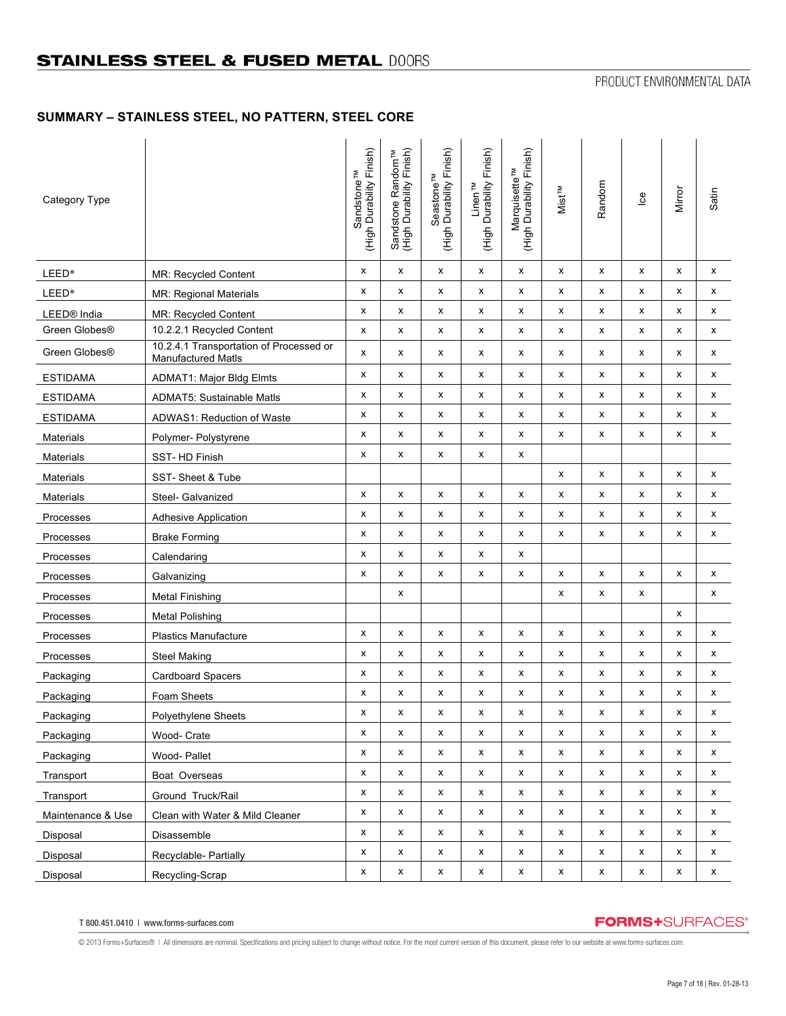# **SUMMARY – STAINLESS STEEL, NO PATTERN, STEEL CORE**

| Category Type           |                                                               | Finish)<br>Sandstone <sup>TM</sup><br>(High Durability | Finish)<br>Sandstone Random <sup>™</sup><br>(High Durability Finish) | Seastone <sup>TM</sup><br>(High Durability Finish) | Linen <sup>TM</sup><br>(High Durability Finish) | (High Durability Finish)<br>Marquisette <sup>TM</sup> | Mist <sup>TM</sup> | Random             | $\frac{8}{10}$ | Mirror | Satin |
|-------------------------|---------------------------------------------------------------|--------------------------------------------------------|----------------------------------------------------------------------|----------------------------------------------------|-------------------------------------------------|-------------------------------------------------------|--------------------|--------------------|----------------|--------|-------|
| <b>LEED®</b>            | MR: Recycled Content                                          | x                                                      | x                                                                    | x                                                  | X                                               | x                                                     | x                  | X                  | X              | x      | X     |
| <b>LEED®</b>            | MR: Regional Materials                                        | x                                                      | x                                                                    | x                                                  | x                                               | x                                                     | x                  | X                  | x              | x      | х     |
| LEED <sup>®</sup> India | MR: Recycled Content                                          | x                                                      | x                                                                    | x                                                  | х                                               | x                                                     | x                  | X                  | X              | X      | X     |
| Green Globes®           | 10.2.2.1 Recycled Content                                     | x                                                      | x                                                                    | x                                                  | X                                               | x                                                     | x                  | x                  | X              | X      | x     |
| Green Globes®           | 10.2.4.1 Transportation of Processed or<br>Manufactured Matls | x                                                      | x                                                                    | x                                                  | X                                               | x                                                     | x                  | X                  | X              | x      | X     |
| <b>ESTIDAMA</b>         | <b>ADMAT1: Major Bldg Elmts</b>                               | x                                                      | x                                                                    | x                                                  | x                                               | x                                                     | x                  | x                  | X              | x      | X     |
| <b>ESTIDAMA</b>         | <b>ADMAT5: Sustainable Matls</b>                              | x                                                      | x                                                                    | х                                                  | x                                               | x                                                     | x                  | X                  | X              | x      | X     |
| <b>ESTIDAMA</b>         | ADWAS1: Reduction of Waste                                    | x                                                      | x                                                                    | x                                                  | X                                               | x                                                     | x                  | x                  | x              | x      | X     |
| Materials               | Polymer- Polystyrene                                          | X                                                      | x                                                                    | x                                                  | х                                               | x                                                     | x                  | X                  | X              | x      | X     |
| <b>Materials</b>        | SST-HD Finish                                                 | x                                                      | x                                                                    | x                                                  | x                                               | x                                                     |                    |                    |                |        |       |
| Materials               | SST-Sheet & Tube                                              |                                                        |                                                                      |                                                    |                                                 |                                                       | x                  | х                  | X              | X      | x     |
| Materials               | Steel- Galvanized                                             | x                                                      | x                                                                    | x                                                  | x                                               | x                                                     | x                  | X                  | x              | x      | x     |
| Processes               | <b>Adhesive Application</b>                                   | x                                                      | x                                                                    | x                                                  | x                                               | x                                                     | x                  | x                  | X              | x      | X     |
| Processes               | <b>Brake Forming</b>                                          | x                                                      | x                                                                    | x                                                  | X                                               | x                                                     | x                  | X                  | X              | x      | x     |
| Processes               | Calendaring                                                   | x                                                      | x                                                                    | x                                                  | x                                               | x                                                     |                    |                    |                |        |       |
| Processes               | Galvanizing                                                   | x                                                      | x                                                                    | x                                                  | х                                               | x                                                     | x                  | X                  | х              | x      | x     |
| Processes               | <b>Metal Finishing</b>                                        |                                                        | x                                                                    |                                                    |                                                 |                                                       | x                  | x                  | x              |        | x     |
| Processes               | <b>Metal Polishing</b>                                        |                                                        |                                                                      |                                                    |                                                 |                                                       |                    |                    |                | x      |       |
| Processes               | <b>Plastics Manufacture</b>                                   | x                                                      | x                                                                    | х                                                  | х                                               | х                                                     | x                  | х                  | х              | x      | х     |
| Processes               | <b>Steel Making</b>                                           | x                                                      | x                                                                    | x                                                  | X                                               | x                                                     | x                  | x                  | x              | x      | X     |
| Packaging               | Cardboard Spacers                                             | x                                                      | x                                                                    | x                                                  | X                                               | x                                                     | x                  | X                  | X              | X      | х     |
| Packaging               | Foam Sheets                                                   | x                                                      | x                                                                    | x                                                  | x                                               | x                                                     | x                  | X                  | X              | x      | x     |
| Packaging               | Polyethylene Sheets                                           | х                                                      | x                                                                    | x                                                  | х                                               | x                                                     | x                  | х                  | x              | x      | x     |
| Packaging               | Wood- Crate                                                   | x                                                      | x                                                                    | x                                                  | X                                               | X                                                     | x                  | x                  | X              | X      | X     |
| Packaging               | Wood-Pallet                                                   | x                                                      | x                                                                    | x                                                  | x                                               | x                                                     | x                  | $\pmb{\mathsf{x}}$ | X              | X      | X     |
| Transport               | Boat Overseas                                                 | x                                                      | x                                                                    | x                                                  | X                                               | x                                                     | x                  | x                  | X              | X      | x     |
| Transport               | Ground Truck/Rail                                             | x                                                      | x                                                                    | x                                                  | X                                               | x                                                     | x                  | X                  | X              | x      | X     |
| Maintenance & Use       | Clean with Water & Mild Cleaner                               | x                                                      | x                                                                    | x                                                  | x                                               | x                                                     | x                  | x                  | x              | x      | x     |
| Disposal                | Disassemble                                                   | x                                                      | x                                                                    | x                                                  | x                                               | x                                                     | x                  | x                  | X              | x      | X     |
| Disposal                | Recyclable- Partially                                         | x                                                      | x                                                                    | X                                                  | $\pmb{\mathsf{x}}$                              | $\pmb{\mathsf{x}}$                                    | x                  | $\pmb{\mathsf{x}}$ | X              | X      | X     |
| Disposal                | Recycling-Scrap                                               | x                                                      | $\pmb{\mathsf{x}}$                                                   | x                                                  | x                                               | x                                                     | x                  | x                  | X              | X      | X     |

T 800.451.0410 | www.forms-surfaces.com

# **FORMS+**SURFACES®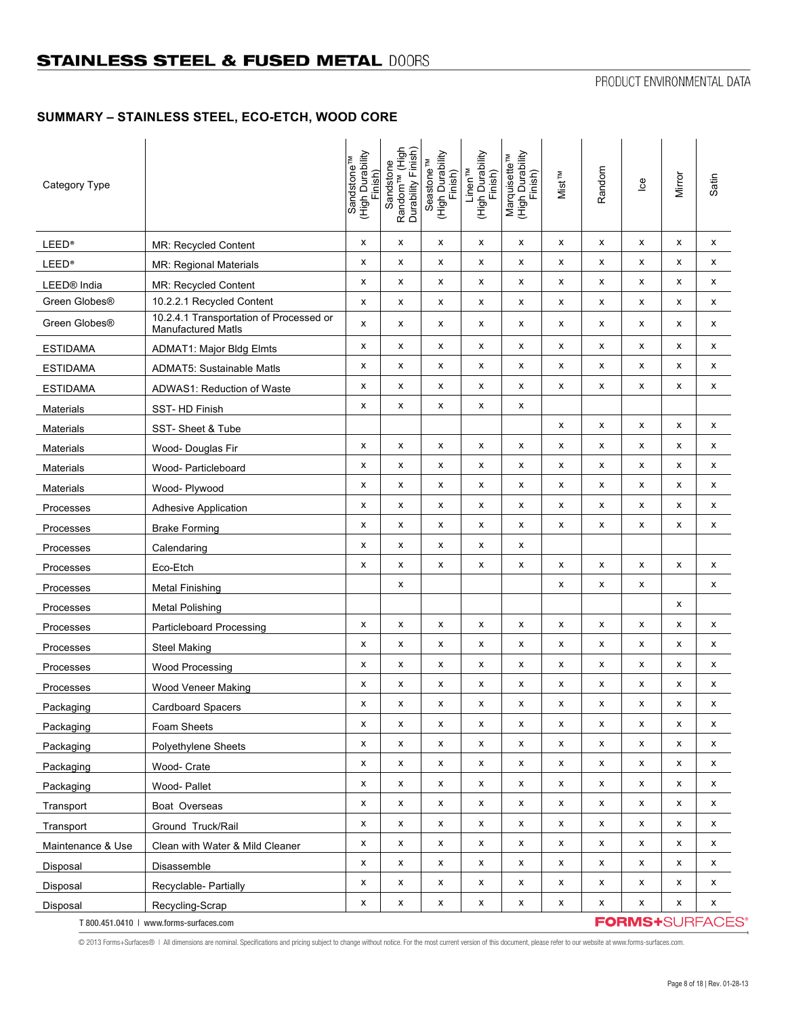# **SUMMARY – STAINLESS STEEL, ECO-ETCH, WOOD CORE**

| Category Type           |                                                                      | (High Durability<br>Sandstone <sup>TM</sup><br>Finish) | Random <sup>TM</sup> (High<br>Durability Finish)<br>Sandstone | (High Durability<br>Finish)<br>Seastone <sup>TM</sup> | (High Durability<br>Finish)<br>Linen <sup>™</sup> | (High Durability<br>Finish)<br>Marquisette <sup>TM</sup> | Mist <sup>TM</sup> | Random | $\underline{\mathbf{e}}$ | Mirror | Satin                  |
|-------------------------|----------------------------------------------------------------------|--------------------------------------------------------|---------------------------------------------------------------|-------------------------------------------------------|---------------------------------------------------|----------------------------------------------------------|--------------------|--------|--------------------------|--------|------------------------|
| <b>LEED®</b>            | MR: Recycled Content                                                 | X                                                      | х                                                             | x                                                     | x                                                 | x                                                        | x                  | X      | x                        | X      | x                      |
| <b>LEED®</b>            | <b>MR: Regional Materials</b>                                        | x                                                      | X                                                             | x                                                     | х                                                 | x                                                        | x                  | x      | х                        | X      | X                      |
| LEED <sup>®</sup> India | <b>MR: Recycled Content</b>                                          | x                                                      | х                                                             | x                                                     | х                                                 | x                                                        | x                  | x      | х                        | х      | x                      |
| Green Globes®           | 10.2.2.1 Recycled Content                                            | x                                                      | X                                                             | x                                                     | x                                                 | x                                                        | x                  | x      | X                        | x      | x                      |
| Green Globes®           | 10.2.4.1 Transportation of Processed or<br><b>Manufactured Matls</b> | x                                                      | х                                                             | х                                                     | х                                                 | x                                                        | x                  | x      | х                        | х      | x                      |
| <b>ESTIDAMA</b>         | <b>ADMAT1: Major Bldg Elmts</b>                                      | x                                                      | X                                                             | x                                                     | х                                                 | х                                                        | х                  | x      | x                        | х      | x                      |
| <b>ESTIDAMA</b>         | <b>ADMAT5: Sustainable Matls</b>                                     | x                                                      | x                                                             | x                                                     | х                                                 | x                                                        | x                  | x      | X                        | x      | x                      |
| <b>ESTIDAMA</b>         | ADWAS1: Reduction of Waste                                           | x                                                      | х                                                             | x                                                     | х                                                 | x                                                        | x                  | x      | х                        | x      | x                      |
| <b>Materials</b>        | SST-HD Finish                                                        | x                                                      | X                                                             | x                                                     | х                                                 | x                                                        |                    |        |                          |        |                        |
| <b>Materials</b>        | SST-Sheet & Tube                                                     |                                                        |                                                               |                                                       |                                                   |                                                          | x                  | x      | X                        | X      | x                      |
| <b>Materials</b>        | Wood- Douglas Fir                                                    | x                                                      | х                                                             | x                                                     | х                                                 | x                                                        | x                  | x      | х                        | х      | x                      |
| <b>Materials</b>        | Wood- Particleboard                                                  | x                                                      | X                                                             | х                                                     | х                                                 | x                                                        | x                  | X      | X                        | х      | x                      |
| <b>Materials</b>        | Wood- Plywood                                                        | x                                                      | X                                                             | x                                                     | х                                                 | x                                                        | x                  | x      | X                        | х      | x                      |
| Processes               | <b>Adhesive Application</b>                                          | x                                                      | х                                                             | x                                                     | х                                                 | x                                                        | x                  | x      | х                        | X      | x                      |
| Processes               | <b>Brake Forming</b>                                                 | x                                                      | X                                                             | x                                                     | х                                                 | х                                                        | x                  | x      | X                        | x      | x                      |
| Processes               | Calendaring                                                          | x                                                      | х                                                             | x                                                     | х                                                 | x                                                        |                    |        |                          |        |                        |
| Processes               | Eco-Etch                                                             | x                                                      | х                                                             | х                                                     | х                                                 | x                                                        | x                  | x      | x                        | х      | x                      |
| Processes               | Metal Finishing                                                      |                                                        | х                                                             |                                                       |                                                   |                                                          | x                  | x      | х                        |        | x                      |
| Processes               | <b>Metal Polishing</b>                                               |                                                        |                                                               |                                                       |                                                   |                                                          |                    |        |                          | X      |                        |
| Processes               | <b>Particleboard Processing</b>                                      | x                                                      | X                                                             | x                                                     | х                                                 | x                                                        | x                  | x      | х                        | х      | x                      |
| Processes               | <b>Steel Making</b>                                                  | x                                                      | х                                                             | х                                                     | х                                                 | x                                                        | x                  | x      | х                        | х      | x                      |
| Processes               | Wood Processing                                                      | x                                                      | X                                                             | X                                                     | x                                                 | x                                                        | x                  | x      | X                        | X      | х                      |
| Processes               | Wood Veneer Making                                                   | x                                                      | х                                                             | x                                                     | х                                                 | x                                                        | x                  | x      | х                        | х      | x                      |
| Packaging               | <b>Cardboard Spacers</b>                                             | х                                                      | х                                                             | х                                                     | х                                                 | х                                                        | х                  | х      | х                        | х      | x                      |
| Packaging               | Foam Sheets                                                          | x                                                      | X                                                             | x                                                     | х                                                 | x                                                        | x                  | x      | X                        | X      | x                      |
| Packaging               | <b>Polyethylene Sheets</b>                                           | x                                                      | X                                                             | x                                                     | x                                                 | x                                                        | x                  | x      | X                        | X      | x                      |
| Packaging               | Wood- Crate                                                          | x                                                      | X                                                             | x                                                     | x                                                 | x                                                        | x                  | X      | X                        | X      | x                      |
| Packaging               | Wood-Pallet                                                          | x                                                      | X                                                             | x                                                     | x                                                 | x                                                        | x                  | x      | х                        | х      | x                      |
| Transport               | Boat Overseas                                                        | x                                                      | X                                                             | x                                                     | x                                                 | x                                                        | x                  | X      | х                        | x      | x                      |
| Transport               | Ground Truck/Rail                                                    | x                                                      | X                                                             | x                                                     | х                                                 | x                                                        | x                  | X      | х                        | х      | x                      |
| Maintenance & Use       | Clean with Water & Mild Cleaner                                      | x                                                      | X                                                             | x                                                     | x                                                 | x                                                        | x                  | x      | X                        | X      | x                      |
| Disposal                | Disassemble                                                          | x                                                      | $\pmb{\mathsf{x}}$                                            | x                                                     | x                                                 | x                                                        | x                  | X      | х                        | X      | x                      |
| Disposal                | Recyclable- Partially                                                | x                                                      | X                                                             | x                                                     | х                                                 | x                                                        | x                  | X      | X                        | х      | x                      |
| Disposal                | Recycling-Scrap                                                      | X                                                      | $\pmb{\mathsf{x}}$                                            | X                                                     | X                                                 | x                                                        | x                  | X      | X                        | X      | x                      |
|                         | T 800.451.0410   www.forms-surfaces.com                              |                                                        |                                                               |                                                       |                                                   |                                                          |                    |        |                          |        | <b>FORMS+SURFACES®</b> |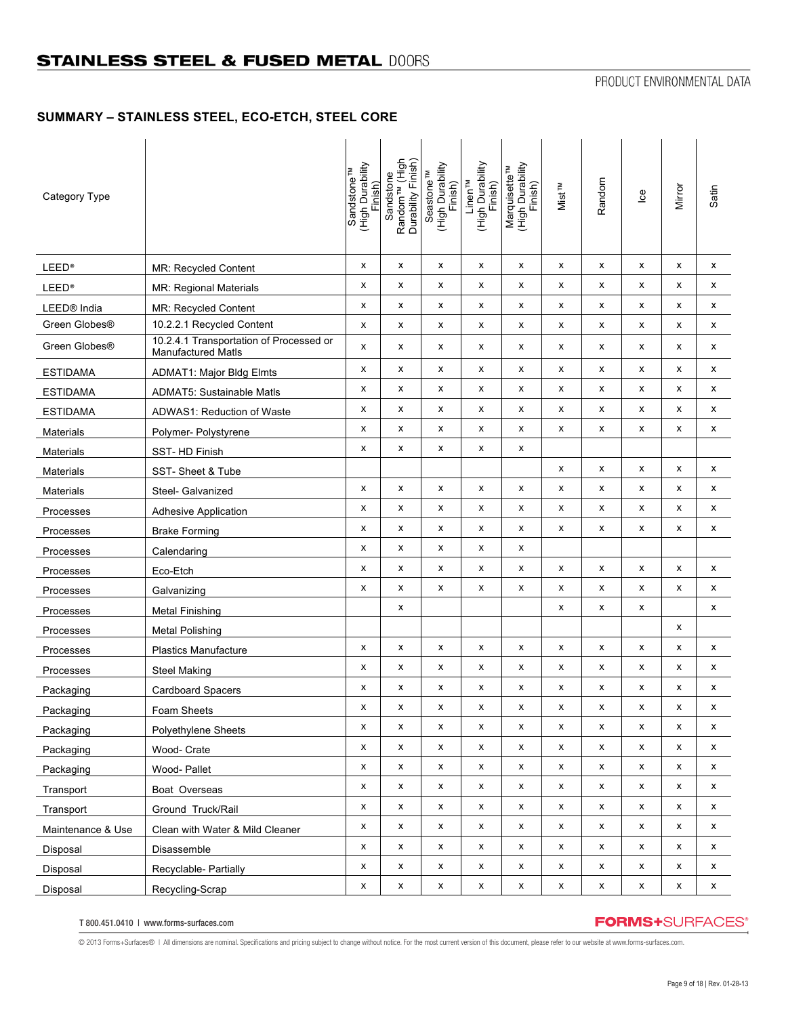## **SUMMARY – STAINLESS STEEL, ECO-ETCH, STEEL CORE**

| Category Type             |                                                                      | (High Durability<br>Sandstone <sup>TM</sup><br>Finish) | Random <sup>TM</sup> (High<br>Durability Finish)<br>Sandstone | (High Durability<br>Seastone <sup>TM</sup><br>Finish) | (High Durability<br>Finish)<br>Linen <sup>TM</sup> | Marquisette™<br>(High Durability<br>Finish) | Mist <sup>TM</sup> | Random             | $\underline{\mathbf{e}}$ | Mirror | Satin        |
|---------------------------|----------------------------------------------------------------------|--------------------------------------------------------|---------------------------------------------------------------|-------------------------------------------------------|----------------------------------------------------|---------------------------------------------|--------------------|--------------------|--------------------------|--------|--------------|
| <b>LEED®</b>              | MR: Recycled Content                                                 | x                                                      | x                                                             | x                                                     | x                                                  | x                                           | x                  | x                  | X                        | x      | X            |
| <b>LEED®</b>              | MR: Regional Materials                                               | x                                                      | x                                                             | x                                                     | x                                                  | x                                           | х                  | X                  | X                        | x      | x            |
| LEED <sup>®</sup> India   | <b>MR: Recycled Content</b>                                          | x                                                      | x                                                             | x                                                     | х                                                  | x                                           | x                  | х                  | x                        | x      | х            |
| Green Globes <sup>®</sup> | 10.2.2.1 Recycled Content                                            | x                                                      | x                                                             | x                                                     | х                                                  | x                                           | x                  | х                  | х                        | x      | х            |
| Green Globes®             | 10.2.4.1 Transportation of Processed or<br><b>Manufactured Matls</b> | x                                                      | х                                                             | х                                                     | х                                                  | x                                           | х                  | х                  | X                        | x      | х            |
| <b>ESTIDAMA</b>           | <b>ADMAT1: Major Bldg Elmts</b>                                      | x                                                      | x                                                             | х                                                     | х                                                  | x                                           | x                  | х                  | х                        | x      | x            |
| <b>ESTIDAMA</b>           | <b>ADMAT5: Sustainable Matls</b>                                     | x                                                      | x                                                             | х                                                     | X                                                  | x                                           | x                  | x                  | x                        | x      | х            |
| <b>ESTIDAMA</b>           | ADWAS1: Reduction of Waste                                           | x                                                      | x                                                             | x                                                     | X                                                  | x                                           | x                  | X                  | X                        | x      | х            |
| Materials                 | Polymer- Polystyrene                                                 | x                                                      | x                                                             | x                                                     | x                                                  | x                                           | x                  | x                  | x                        | x      | x            |
| Materials                 | SST-HD Finish                                                        | x                                                      | х                                                             | x                                                     | x                                                  | x                                           |                    |                    |                          |        |              |
| Materials                 | SST-Sheet & Tube                                                     |                                                        |                                                               |                                                       |                                                    |                                             | x                  | X                  | x                        | x      | X            |
| Materials                 | Steel- Galvanized                                                    | x                                                      | x                                                             | x                                                     | x                                                  | x                                           | x                  | x                  | x                        | x      | X            |
| Processes                 | <b>Adhesive Application</b>                                          | x                                                      | х                                                             | х                                                     | х                                                  | x                                           | x                  | х                  | x                        | x      | x            |
| Processes                 | <b>Brake Forming</b>                                                 | x                                                      | x                                                             | x                                                     | X                                                  | x                                           | x                  | x                  | x                        | x      | X            |
| Processes                 | Calendaring                                                          | x                                                      | x                                                             | x                                                     | x                                                  | x                                           |                    |                    |                          |        |              |
| Processes                 | Eco-Etch                                                             | x                                                      | x                                                             | х                                                     | x                                                  | x                                           | x                  | x                  | x                        | x      | x            |
| Processes                 | Galvanizing                                                          | x                                                      | x                                                             | x                                                     | x                                                  | x                                           | x                  | X                  | X                        | X      | X            |
| Processes                 | <b>Metal Finishing</b>                                               |                                                        | x                                                             |                                                       |                                                    |                                             | x                  | X                  | х                        |        | X            |
| Processes                 | <b>Metal Polishing</b>                                               |                                                        |                                                               |                                                       |                                                    |                                             |                    |                    |                          | x      |              |
| Processes                 | <b>Plastics Manufacture</b>                                          | х                                                      | x                                                             | x                                                     | х                                                  | х                                           | x                  | X                  | X                        | X      | х            |
| Processes                 | <b>Steel Making</b>                                                  | x                                                      | x                                                             | x                                                     | X                                                  | x                                           | x                  | x                  | X                        | x      | x            |
| Packaging                 | Cardboard Spacers                                                    | x                                                      | х                                                             | x                                                     | x                                                  | x                                           | х                  | х                  | X                        | x      | x            |
| Packaging                 | Foam Sheets                                                          | x                                                      | x                                                             | x                                                     | x                                                  | x                                           | x                  | X                  | x                        | x      | x            |
| Packaging                 | Polyethylene Sheets                                                  | x                                                      | x                                                             | x                                                     | $\pmb{\mathsf{x}}$                                 | $\pmb{\mathsf{x}}$                          | x                  | $\pmb{\mathsf{x}}$ | $\pmb{\mathsf{x}}$       | X      | X            |
| Packaging                 | Wood- Crate                                                          | x                                                      | x                                                             | X                                                     | X                                                  | х                                           | x                  | x                  | X                        | X      | x            |
| Packaging                 | Wood-Pallet                                                          | x                                                      | x                                                             | x                                                     | X                                                  | x                                           | x                  | x                  | X                        | x      | x            |
| Transport                 | Boat Overseas                                                        | x                                                      | x                                                             | X                                                     | x                                                  | x                                           | x                  | x                  | x                        | x      | х            |
| Transport                 | Ground Truck/Rail                                                    | x                                                      | x                                                             | x                                                     | x                                                  | X                                           | x                  | x                  | X                        | x      | X            |
| Maintenance & Use         | Clean with Water & Mild Cleaner                                      | x                                                      | x                                                             | X                                                     | $\pmb{\mathsf{x}}$                                 | X                                           | x                  | $\pmb{\mathsf{x}}$ | X                        | x      | X            |
| Disposal                  | Disassemble                                                          | x                                                      | x                                                             | x                                                     | x                                                  | x                                           | x                  | x                  | x                        | x      | X            |
| Disposal                  | Recyclable- Partially                                                | x                                                      | x                                                             | x                                                     | X                                                  | X                                           | x                  | X                  | X                        | x      | X            |
| Disposal                  | Recycling-Scrap                                                      | x                                                      | X                                                             | $\pmb{\mathsf{x}}$                                    | $\pmb{\mathsf{x}}$                                 | $\pmb{\mathsf{x}}$                          | x                  | $\pmb{\mathsf{x}}$ | $\pmb{\mathsf{x}}$       | X      | $\mathsf{x}$ |

T 800.451.0410 | www.forms-surfaces.com

## **FORMS+**SURFACES®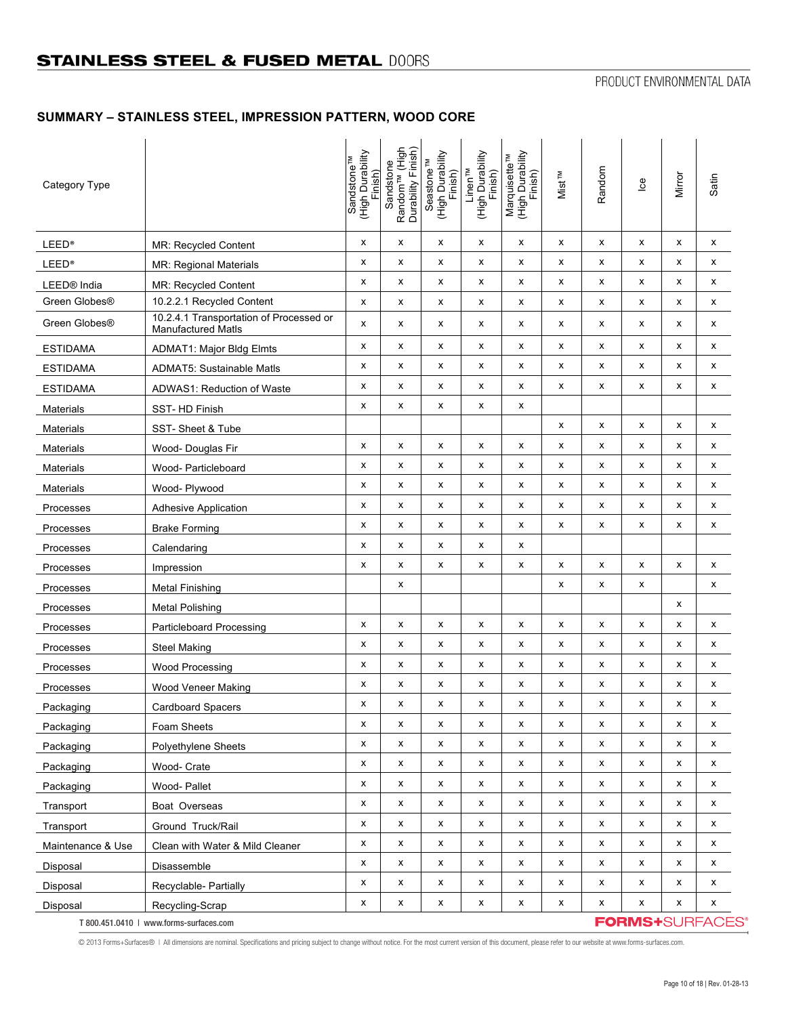# **SUMMARY – STAINLESS STEEL, IMPRESSION PATTERN, WOOD CORE**

| Category Type           |                                                                      | (High Durability<br>Sandstone <sup>TM</sup><br>Finish) | Random <sup>TM</sup> (High<br>Durability Finish)<br>Sandstone | (High Durability<br>Seastone <sup>TM</sup><br>Finish) | (High Durability<br>Finish)<br>Linen <sup>TM</sup> | Marquisette™<br>(High Durability<br>Finish) | <b>Mist<sup>TM</sup></b> | Random | $\underline{\mathbf{e}}$ | Mirror | Satin                  |
|-------------------------|----------------------------------------------------------------------|--------------------------------------------------------|---------------------------------------------------------------|-------------------------------------------------------|----------------------------------------------------|---------------------------------------------|--------------------------|--------|--------------------------|--------|------------------------|
| <b>LEED®</b>            | <b>MR: Recycled Content</b>                                          | х                                                      | X                                                             | х                                                     | х                                                  | x                                           | x                        | x      | х                        | x      | x                      |
| <b>LEED®</b>            | MR: Regional Materials                                               | x                                                      | х                                                             | x                                                     | x                                                  | x                                           | x                        | x      | x                        | x      | x                      |
| LEED <sup>®</sup> India | <b>MR: Recycled Content</b>                                          | x                                                      | X                                                             | x                                                     | х                                                  | x                                           | x                        | x      | х                        | х      | x                      |
| Green Globes®           | 10.2.2.1 Recycled Content                                            | х                                                      | X                                                             | х                                                     | х                                                  | x                                           | x                        | х      | х                        | х      | х                      |
| Green Globes®           | 10.2.4.1 Transportation of Processed or<br><b>Manufactured Matls</b> | x                                                      | х                                                             | x                                                     | х                                                  | x                                           | x                        | x      | x                        | x      | x                      |
| <b>ESTIDAMA</b>         | <b>ADMAT1: Major Bldg Elmts</b>                                      | x                                                      | X                                                             | х                                                     | х                                                  | x                                           | x                        | x      | x                        | x      | X                      |
| <b>ESTIDAMA</b>         | <b>ADMAT5: Sustainable Matls</b>                                     | x                                                      | х                                                             | x                                                     | x                                                  | x                                           | x                        | x      | X                        | x      | x                      |
| <b>ESTIDAMA</b>         | ADWAS1: Reduction of Waste                                           | x                                                      | X                                                             | х                                                     | x                                                  | x                                           | x                        | x      | X                        | x      | x                      |
| Materials               | SST-HD Finish                                                        | x                                                      | х                                                             | x                                                     | х                                                  | x                                           |                          |        |                          |        |                        |
| <b>Materials</b>        | SST-Sheet & Tube                                                     |                                                        |                                                               |                                                       |                                                    |                                             | x                        | x      | X                        | x      | x                      |
| <b>Materials</b>        | Wood- Douglas Fir                                                    | x                                                      | X                                                             | x                                                     | х                                                  | x                                           | x                        | x      | х                        | х      | x                      |
| <b>Materials</b>        | Wood- Particleboard                                                  | x                                                      | X                                                             | x                                                     | х                                                  | x                                           | x                        | x      | x                        | x      | x                      |
| <b>Materials</b>        | Wood- Plywood                                                        | X                                                      | X                                                             | x                                                     | x                                                  | x                                           | x                        | x      | x                        | x      | x                      |
| Processes               | <b>Adhesive Application</b>                                          | x                                                      | X                                                             | x                                                     | х                                                  | x                                           | x                        | x      | x                        | х      | x                      |
| Processes               | <b>Brake Forming</b>                                                 | x                                                      | х                                                             | х                                                     | х                                                  | x                                           | x                        | х      | х                        | х      | х                      |
| Processes               | Calendaring                                                          | X                                                      | X                                                             | x                                                     | х                                                  | х                                           |                          |        |                          |        |                        |
| Processes               | Impression                                                           | x                                                      | x                                                             | x                                                     | х                                                  | x                                           | x                        | x      | x                        | x      | x                      |
| Processes               | <b>Metal Finishing</b>                                               |                                                        | X                                                             |                                                       |                                                    |                                             | x                        | x      | х                        |        | х                      |
| Processes               | <b>Metal Polishing</b>                                               |                                                        |                                                               |                                                       |                                                    |                                             |                          |        |                          | x      |                        |
| Processes               | <b>Particleboard Processing</b>                                      | X                                                      | X                                                             | x                                                     | х                                                  | x                                           | x                        | x      | X                        | X      | x                      |
| Processes               | <b>Steel Making</b>                                                  | x                                                      | х                                                             | х                                                     | х                                                  | x                                           | x                        | x      | х                        | х      | x                      |
| Processes               | Wood Processing                                                      | x                                                      | х                                                             | x                                                     | x                                                  | х                                           | x                        | x      | X                        | x      | x                      |
| Processes               | Wood Veneer Making                                                   | x                                                      | X                                                             | х                                                     | х                                                  | x                                           | x                        | x      | х                        | х      | x                      |
| Packaging               | <b>Cardboard Spacers</b>                                             | x                                                      | X                                                             | x                                                     | х                                                  | x                                           | x                        | x      | x                        | х      | x                      |
| Packaging               | Foam Sheets                                                          | X                                                      | X                                                             | x                                                     | x                                                  | x                                           | x                        | x      | X                        | X      | x                      |
| Packaging               | <b>Polyethylene Sheets</b>                                           | x                                                      | X                                                             | x                                                     | x                                                  | x                                           | x                        | x      | X                        | X      | x                      |
| Packaging               | Wood- Crate                                                          | x                                                      | X                                                             | x                                                     | х                                                  | x                                           | x                        | х      | X                        | х      | х                      |
| Packaging               | Wood- Pallet                                                         | X                                                      | X                                                             | x                                                     | x                                                  | x                                           | x                        | X      | X                        | x      | x                      |
| Transport               | Boat Overseas                                                        | X                                                      | X                                                             | x                                                     | x                                                  | x                                           | x                        | x      | X                        | x      | x                      |
| Transport               | Ground Truck/Rail                                                    | x                                                      | X                                                             | х                                                     | х                                                  | x                                           | x                        | х      | X                        | X      | X                      |
| Maintenance & Use       | Clean with Water & Mild Cleaner                                      | x                                                      | X                                                             | x                                                     | x                                                  | x                                           | x                        | X      | X                        | X      | x                      |
| Disposal                | Disassemble                                                          | x                                                      | X                                                             | x                                                     | x                                                  | x                                           | x                        | x      | х                        | x      | x                      |
| Disposal                | Recyclable- Partially                                                | x                                                      | X                                                             | x                                                     | х                                                  | x                                           | x                        | X      | х                        | х      | x                      |
| Disposal                | Recycling-Scrap                                                      | x                                                      | X                                                             | x                                                     | X                                                  | x                                           | x                        | X      | X                        | X      | X                      |
|                         | T 800.451.0410   www.forms-surfaces.com                              |                                                        |                                                               |                                                       |                                                    |                                             |                          |        |                          |        | <b>FORMS+SURFACES®</b> |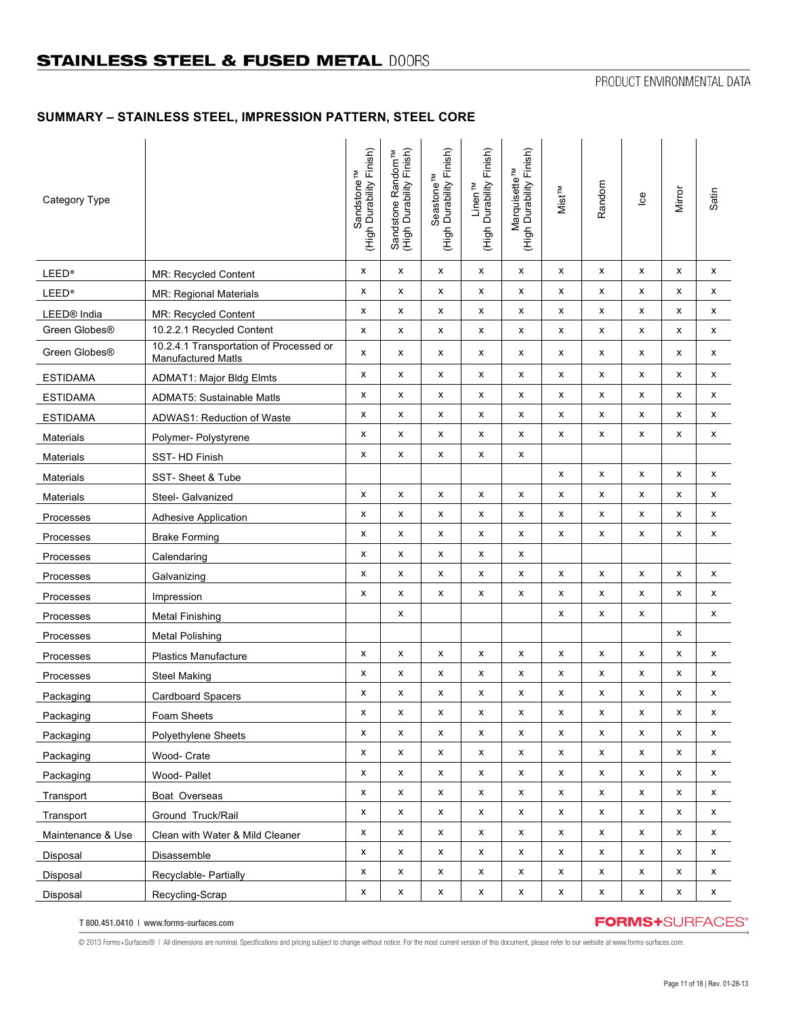# **SUMMARY – STAINLESS STEEL, IMPRESSION PATTERN, STEEL CORE**

| Category Type             |                                                               | (High Durability Finish)<br>Sandstone <sup>TM</sup> | Sandstone Random <sup>TM</sup><br>(High Durability Finish) | Seastone <sup>TM</sup><br>(High Durability Finish) | (High Durability Finish)<br>Linen <sup>TM</sup> | (High Durability Finish)<br>Marquisette <sup>TM</sup> | Mist <sup>TM</sup> | Random      | $\underline{\mathbf{e}}$ | Mirror             | Satin       |
|---------------------------|---------------------------------------------------------------|-----------------------------------------------------|------------------------------------------------------------|----------------------------------------------------|-------------------------------------------------|-------------------------------------------------------|--------------------|-------------|--------------------------|--------------------|-------------|
| <b>LEED®</b>              | <b>MR: Recycled Content</b>                                   | х                                                   | x                                                          | х                                                  | х                                               | х                                                     | x                  | х           | x                        | x                  | x           |
| <b>LEED®</b>              | <b>MR: Regional Materials</b>                                 | x                                                   | x                                                          | x                                                  | X                                               | x                                                     | x                  | x           | x                        | x                  | x           |
| LEED <sup>®</sup> India   | MR: Recycled Content                                          | x                                                   | х                                                          | x                                                  | x                                               | x                                                     | x                  | x           | x                        | x                  | x           |
| Green Globes®             | 10.2.2.1 Recycled Content                                     | x                                                   | х                                                          | x                                                  | x                                               | x                                                     | x                  | x           | x                        | x                  | x           |
| Green Globes <sup>®</sup> | 10.2.4.1 Transportation of Processed or<br>Manufactured Matls | x                                                   | x                                                          | x                                                  | x                                               | x                                                     | x                  | x           | x                        | x                  | x           |
| <b>ESTIDAMA</b>           | <b>ADMAT1: Major Bldg Elmts</b>                               | х                                                   | х                                                          | x                                                  | x                                               | x                                                     | x                  | x           | x                        | x                  | x           |
| <b>ESTIDAMA</b>           | <b>ADMAT5: Sustainable Matls</b>                              | x                                                   | x                                                          | x                                                  | x                                               | x                                                     | x                  | x           | x                        | x                  | x           |
| <b>ESTIDAMA</b>           | ADWAS1: Reduction of Waste                                    | x                                                   | x                                                          | x                                                  | x                                               | x                                                     | x                  | x           | x                        | x                  | x           |
| <b>Materials</b>          | Polymer- Polystyrene                                          | x                                                   | х                                                          | x                                                  | x                                               | x                                                     | x                  | x           | x                        | x                  | x           |
| <b>Materials</b>          | SST-HD Finish                                                 | x                                                   | x                                                          | x                                                  | X                                               | x                                                     |                    |             |                          |                    |             |
| Materials                 | SST-Sheet & Tube                                              |                                                     |                                                            |                                                    |                                                 |                                                       | x                  | x           | x                        | x                  | x           |
| Materials                 | Steel- Galvanized                                             | х                                                   | х                                                          | х                                                  | х                                               | х                                                     | х                  | х           | x                        | x                  | x           |
| Processes                 | Adhesive Application                                          | x                                                   | x                                                          | x                                                  | X                                               | x                                                     | x                  | x           | x                        | x                  | x           |
| Processes                 | <b>Brake Forming</b>                                          | x                                                   | x                                                          | x                                                  | x                                               | x                                                     | x                  | x           | x                        | x                  | x           |
| Processes                 | Calendaring                                                   | x                                                   | x                                                          | x                                                  | x                                               | x                                                     |                    |             |                          |                    |             |
| Processes                 | Galvanizing                                                   | х                                                   | x                                                          | x                                                  | x                                               | x                                                     | x                  | x           | x                        | x                  | x           |
| Processes                 | Impression                                                    | x                                                   | x                                                          | x                                                  | x                                               | x                                                     | x                  | x           | x                        | x                  | x           |
| Processes                 | <b>Metal Finishing</b>                                        |                                                     | x                                                          |                                                    |                                                 |                                                       | x                  | х           | x                        |                    | x           |
| Processes                 | <b>Metal Polishing</b>                                        |                                                     |                                                            |                                                    |                                                 |                                                       |                    |             |                          | x                  |             |
| Processes                 | <b>Plastics Manufacture</b>                                   | x                                                   | x                                                          | $\pmb{\times}$                                     | x                                               | x                                                     | x                  | x           | x                        | x                  | x           |
| Processes                 | <b>Steel Making</b>                                           | x                                                   | x                                                          | x                                                  | x                                               | x                                                     | x                  | x           | x                        | x                  | x           |
| Packaging                 | Cardboard Spacers                                             | х                                                   | x                                                          | x                                                  | x                                               | x                                                     | x                  | x           | x                        | x                  | x           |
| Packaging                 | Foam Sheets                                                   | x                                                   | X                                                          | Χ                                                  | X                                               | X                                                     | X                  | x           | X                        | x                  | x           |
| Packaging                 | Polyethylene Sheets                                           | x                                                   | x                                                          | x                                                  | х                                               | x                                                     | x                  | х           | x                        | x                  | x           |
| Packaging                 | Wood- Crate                                                   | x                                                   | X                                                          | x                                                  | x                                               | x                                                     | x                  | X           | x                        | X                  | x           |
| Packaging                 | Wood-Pallet                                                   | x                                                   | x                                                          | x                                                  | x                                               | x                                                     | x                  | X           | x                        | x                  | x           |
| Transport                 | Boat Overseas                                                 | x                                                   | X                                                          | x                                                  | x                                               | x                                                     | x                  | x           | x                        | x                  | x           |
| Transport                 | Ground Truck/Rail                                             | x                                                   | X                                                          | x                                                  | x                                               | x                                                     | x                  | X           | x                        | x                  | x           |
| Maintenance & Use         | Clean with Water & Mild Cleaner                               | x                                                   | x                                                          | x                                                  | x                                               | x                                                     | x                  | x           | x                        | x                  | x           |
| Disposal                  | Disassemble                                                   | x                                                   | x                                                          | x                                                  | x                                               | x                                                     | x                  | X           | x                        | x                  | x           |
| Disposal                  | Recyclable- Partially                                         | x                                                   | x                                                          | x                                                  | X                                               | X                                                     | x                  | x           | x                        | x                  | x           |
| Disposal                  | Recycling-Scrap                                               | $\pmb{\mathsf{x}}$                                  | $\pmb{\mathsf{x}}$                                         | x                                                  | $\pmb{\mathsf{x}}$                              | $\pmb{\mathsf{x}}$                                    | x                  | $\mathsf X$ | $\pmb{\mathsf{x}}$       | $\pmb{\mathsf{x}}$ | $\mathsf X$ |

T 800.451.0410 | www.forms-surfaces.com

## **FORMS+**SURFACES®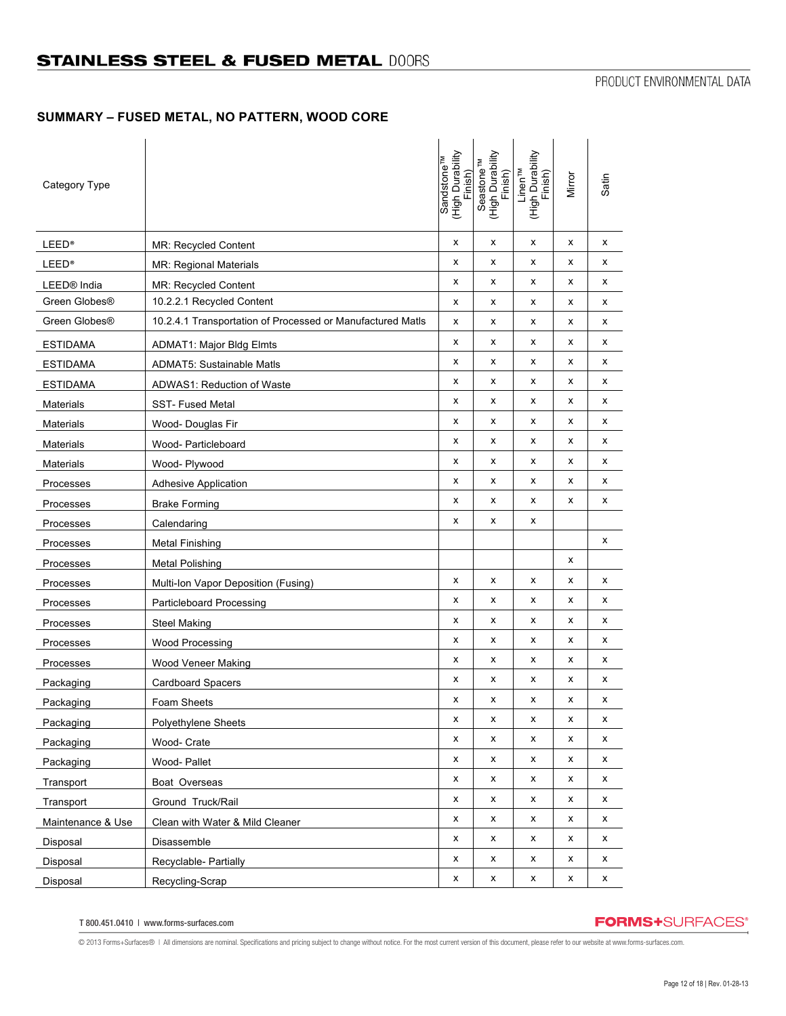# **SUMMARY – FUSED METAL, NO PATTERN, WOOD CORE**

| Category Type           |                                                            | Sandstone <sup>TM</sup><br>(High Durability<br>Finish) | (High Durability<br>Seastone <sup>TM</sup><br>Finish) | (High Durability<br>Finish)<br>Linen <sup>TM</sup> | Mirror | Satin |
|-------------------------|------------------------------------------------------------|--------------------------------------------------------|-------------------------------------------------------|----------------------------------------------------|--------|-------|
| <b>LEED®</b>            | MR: Recycled Content                                       | x                                                      | x                                                     | x                                                  | х      | x     |
| <b>LEED®</b>            | MR: Regional Materials                                     | x                                                      | x                                                     | х                                                  | x      | х     |
| LEED <sup>®</sup> India | <b>MR: Recycled Content</b>                                | X                                                      | x                                                     | х                                                  | x      | x     |
| Green Globes®           | 10.2.2.1 Recycled Content                                  | x                                                      | x                                                     | х                                                  | х      | x     |
| Green Globes®           | 10.2.4.1 Transportation of Processed or Manufactured Matls | X                                                      | x                                                     | х                                                  | x      | х     |
| <b>ESTIDAMA</b>         | <b>ADMAT1: Major Bldg Elmts</b>                            | x                                                      | x                                                     | х                                                  | х      | x     |
| <b>ESTIDAMA</b>         | <b>ADMAT5: Sustainable Matls</b>                           | x                                                      | x                                                     | х                                                  | х      | х     |
| <b>ESTIDAMA</b>         | ADWAS1: Reduction of Waste                                 | x                                                      | x                                                     | х                                                  | x      | х     |
| <b>Materials</b>        | <b>SST-Fused Metal</b>                                     | X                                                      | x                                                     | x                                                  | x      | x     |
| <b>Materials</b>        | Wood- Douglas Fir                                          | X                                                      | x                                                     | х                                                  | x      | x     |
| Materials               | Wood- Particleboard                                        | x                                                      | x                                                     | x                                                  | x      | х     |
| <b>Materials</b>        | Wood- Plywood                                              | x                                                      | х                                                     | x                                                  | х      | x     |
| Processes               | <b>Adhesive Application</b>                                | x                                                      | x                                                     | х                                                  | х      | x     |
| Processes               | <b>Brake Forming</b>                                       | x                                                      | x                                                     | x                                                  | x      | х     |
| Processes               | Calendaring                                                | x                                                      | x                                                     | x                                                  |        |       |
| Processes               | Metal Finishing                                            |                                                        |                                                       |                                                    |        | x     |
| Processes               | <b>Metal Polishing</b>                                     |                                                        |                                                       |                                                    | х      |       |
| Processes               | Multi-Ion Vapor Deposition (Fusing)                        | x                                                      | x                                                     | х                                                  | х      | x     |
| Processes               | Particleboard Processing                                   | x                                                      | x                                                     | х                                                  | x      | х     |
| Processes               | <b>Steel Making</b>                                        | x                                                      | x                                                     | х                                                  | x      | х     |
| Processes               | <b>Wood Processing</b>                                     | x                                                      | x                                                     | x                                                  | x      | х     |
| Processes               | <b>Wood Veneer Making</b>                                  | x                                                      | x                                                     | х                                                  | х      | x     |
| Packaging               | Cardboard Spacers                                          | x                                                      | x                                                     | х                                                  | x      | x     |
| Packaging               | Foam Sheets                                                | X                                                      | х                                                     | x                                                  | x      | x     |
| Packaging               | <b>Polyethylene Sheets</b>                                 | X                                                      | X                                                     | x                                                  | X      | x     |
| Packaging               | Wood- Crate                                                | x                                                      | x                                                     | x                                                  | x      | x     |
| Packaging               | Wood-Pallet                                                | x                                                      | x                                                     | x                                                  | x      | x     |
| Transport               | Boat Overseas                                              | x                                                      | x                                                     | х                                                  | x      | x     |
| Transport               | Ground Truck/Rail                                          | x                                                      | x                                                     | x                                                  | х      | х     |
| Maintenance & Use       | Clean with Water & Mild Cleaner                            | x                                                      | x                                                     | х                                                  | х      | x     |
| Disposal                | Disassemble                                                | X                                                      | x                                                     | х                                                  | x      | x     |
| Disposal                | Recyclable- Partially                                      | x                                                      | x                                                     | х                                                  | x      | x     |
| Disposal                | Recycling-Scrap                                            | X                                                      | $\pmb{\mathsf{x}}$                                    | х                                                  | x      | X     |

T 800.451.0410 | www.forms-surfaces.com

# **FORMS+**SURFACES®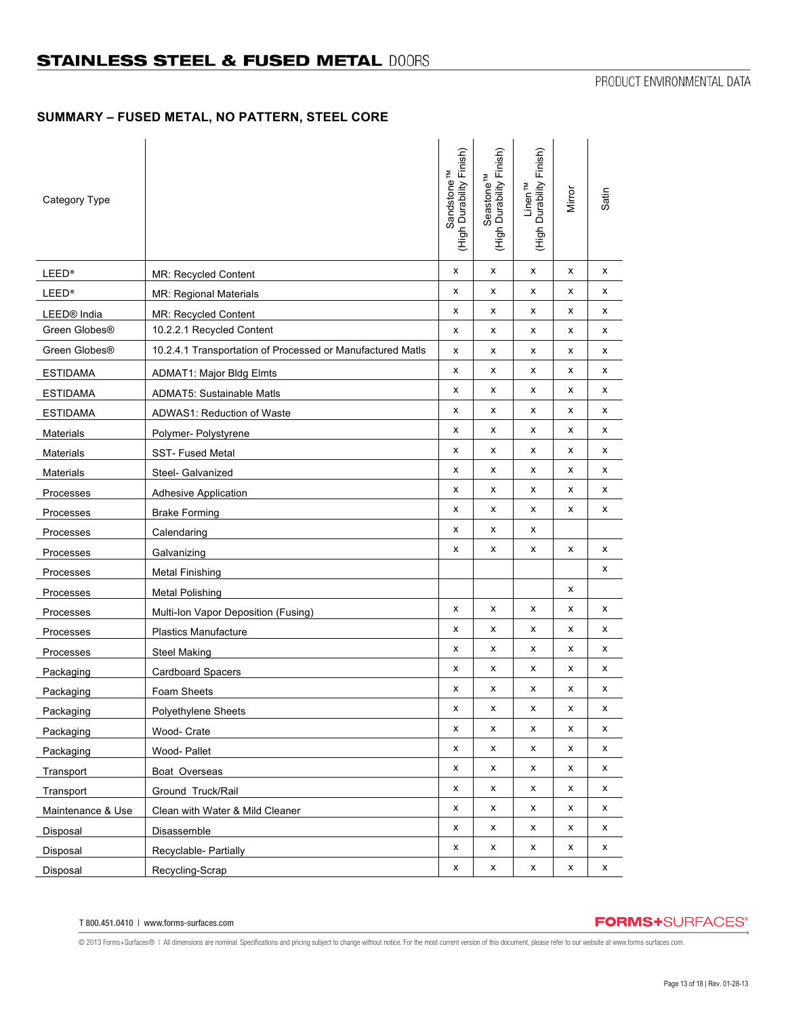## **SUMMARY – FUSED METAL, NO PATTERN, STEEL CORE**

| Category Type           |                                                            | (High Durability Finish)<br>Sandstone <sup>TM</sup> | (High Durability Finish)<br>Seastone <sup>TM</sup> | (High Durability Finish)<br>Linen <sup>TM</sup> | Mirror | Satin |
|-------------------------|------------------------------------------------------------|-----------------------------------------------------|----------------------------------------------------|-------------------------------------------------|--------|-------|
| <b>LEED®</b>            | <b>MR: Recycled Content</b>                                | x                                                   | x                                                  | x                                               | x      | x     |
| <b>LEED®</b>            | MR: Regional Materials                                     | x                                                   | х                                                  | X                                               | x      | х     |
| LEED <sup>®</sup> India | MR: Recycled Content                                       | х                                                   | х                                                  | x                                               | x      | х     |
| Green Globes®           | 10.2.2.1 Recycled Content                                  | х                                                   | х                                                  | x                                               | х      | х     |
| Green Globes®           | 10.2.4.1 Transportation of Processed or Manufactured Matls | х                                                   | х                                                  | х                                               | x      | х     |
| <b>ESTIDAMA</b>         | <b>ADMAT1: Major Bldg Elmts</b>                            | x                                                   | x                                                  | X                                               | x      | х     |
| <b>ESTIDAMA</b>         | <b>ADMAT5: Sustainable Matls</b>                           | x                                                   | x                                                  | x                                               | x      | х     |
| <b>ESTIDAMA</b>         | ADWAS1: Reduction of Waste                                 | x                                                   | х                                                  | x                                               | x      | х     |
| <b>Materials</b>        | Polymer- Polystyrene                                       | x                                                   | x                                                  | X                                               | x      | х     |
| <b>Materials</b>        | <b>SST-Fused Metal</b>                                     | х                                                   | х                                                  | x                                               | х      | х     |
| Materials               | Steel- Galvanized                                          | x                                                   | х                                                  | х                                               | x      | х     |
| Processes               | <b>Adhesive Application</b>                                | x                                                   | х                                                  | X                                               | x      | х     |
| Processes               | <b>Brake Forming</b>                                       | x                                                   | х                                                  | x                                               | x      | х     |
| Processes               | Calendaring                                                | x                                                   | х                                                  | х                                               |        |       |
| Processes               | Galvanizing                                                | х                                                   | х                                                  | x                                               | х      | х     |
| Processes               | <b>Metal Finishing</b>                                     |                                                     |                                                    |                                                 |        | х     |
| Processes               | <b>Metal Polishing</b>                                     |                                                     |                                                    |                                                 | x      |       |
| Processes               | Multi-Ion Vapor Deposition (Fusing)                        | x                                                   | x                                                  | x                                               | x      | х     |
| Processes               | <b>Plastics Manufacture</b>                                | x                                                   | х                                                  | x                                               | x      | x     |
| Processes               | <b>Steel Making</b>                                        | x                                                   | х                                                  | x                                               | x      | х     |
| Packaging               | Cardboard Spacers                                          | x                                                   | x                                                  | x                                               | x      | х     |
| Packaging               | Foam Sheets                                                | х                                                   | х                                                  | x                                               | x      | х     |
| Packaging               | Polyethylene Sheets                                        | X                                                   | x                                                  | X                                               | x      | x     |
| Packaging               | Wood- Crate                                                | х                                                   | х                                                  | x                                               | x      | х     |
| Packaging               | Wood-Pallet                                                | x                                                   | x                                                  | x                                               | x      | х     |
| Transport               | Boat Overseas                                              | x                                                   | x                                                  | x                                               | x      | x     |
| Transport               | Ground Truck/Rail                                          | x                                                   | x                                                  | x                                               | x      | x     |
| Maintenance & Use       | Clean with Water & Mild Cleaner                            | x                                                   | х                                                  | x                                               | x      | x     |
| Disposal                | Disassemble                                                | x                                                   | х                                                  | x                                               | x      | х     |
| Disposal                | Recyclable- Partially                                      | x                                                   | x                                                  | x                                               | x      | х     |
| Disposal                | Recycling-Scrap                                            | х                                                   | x                                                  | x                                               | x      | x     |

# **FORMS+**SURFACES®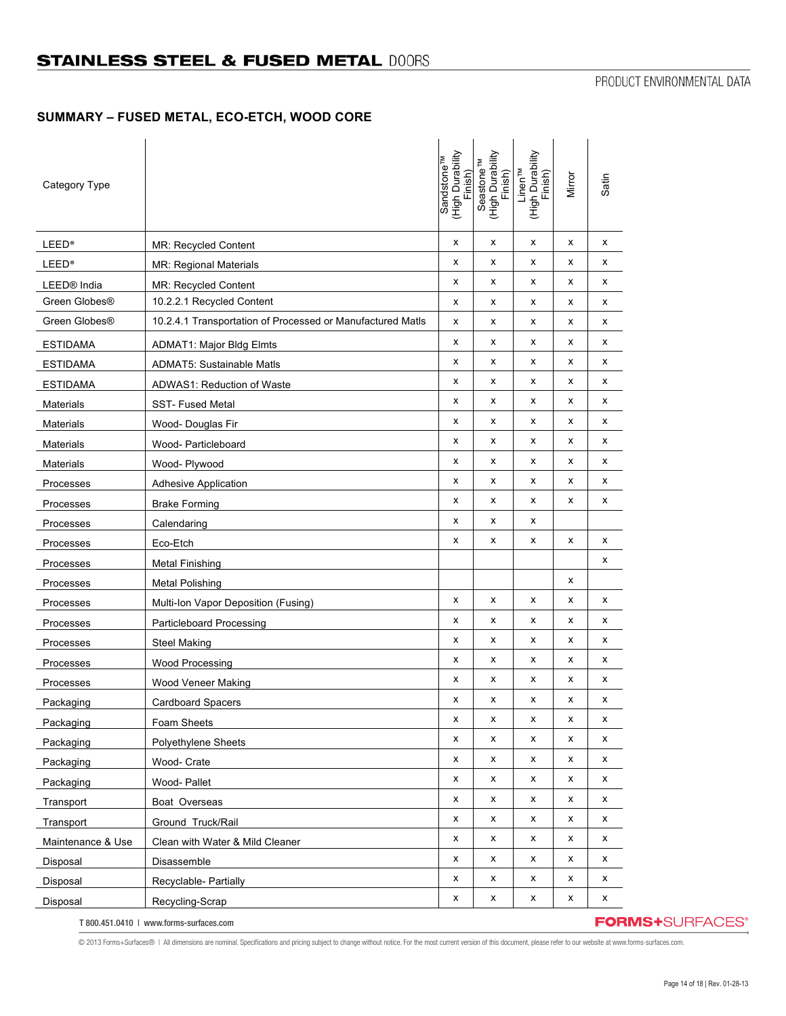# **SUMMARY – FUSED METAL, ECO-ETCH, WOOD CORE**

| Category Type           |                                                            | Sandstone <sup>™</sup><br>(High Durability<br>Finish) | (High Durability<br>Seastone <sup>TM</sup><br>Finish) | (High Durability<br>Finish)<br>Linen <sup>TM</sup> | Mirror | Satin |
|-------------------------|------------------------------------------------------------|-------------------------------------------------------|-------------------------------------------------------|----------------------------------------------------|--------|-------|
| <b>LEED®</b>            | MR: Recycled Content                                       | x                                                     | x                                                     | x                                                  | x      | x     |
| <b>LEED®</b>            | MR: Regional Materials                                     | x                                                     | x                                                     | х                                                  | x      | х     |
| LEED <sup>®</sup> India | <b>MR: Recycled Content</b>                                | Χ                                                     | x                                                     | х                                                  | x      | х     |
| Green Globes®           | 10.2.2.1 Recycled Content                                  | x                                                     | x                                                     | x                                                  | х      | х     |
| Green Globes®           | 10.2.4.1 Transportation of Processed or Manufactured Matls | X                                                     | x                                                     | х                                                  | x      | х     |
| <b>ESTIDAMA</b>         | <b>ADMAT1: Major Bldg Elmts</b>                            | x                                                     | x                                                     | x                                                  | х      | x     |
| <b>ESTIDAMA</b>         | <b>ADMAT5: Sustainable Matls</b>                           | x                                                     | х                                                     | х                                                  | х      | х     |
| <b>ESTIDAMA</b>         | ADWAS1: Reduction of Waste                                 | x                                                     | x                                                     | х                                                  | x      | х     |
| <b>Materials</b>        | <b>SST-Fused Metal</b>                                     | X                                                     | x                                                     | x                                                  | x      | х     |
| <b>Materials</b>        | Wood- Douglas Fir                                          | x                                                     | x                                                     | x                                                  | х      | х     |
| Materials               | Wood- Particleboard                                        | x                                                     | x                                                     | x                                                  | x      | х     |
| <b>Materials</b>        | Wood- Plywood                                              | X                                                     | x                                                     | x                                                  | х      | х     |
| Processes               | <b>Adhesive Application</b>                                | x                                                     | x                                                     | x                                                  | х      | x     |
| Processes               | <b>Brake Forming</b>                                       | x                                                     | x                                                     | х                                                  | х      | х     |
| Processes               | Calendaring                                                | X                                                     | x                                                     | х                                                  |        |       |
| Processes               | Eco-Etch                                                   | x                                                     | х                                                     | x                                                  | x      | x     |
| Processes               | <b>Metal Finishing</b>                                     |                                                       |                                                       |                                                    |        | х     |
| Processes               | <b>Metal Polishing</b>                                     |                                                       |                                                       |                                                    | x      |       |
| Processes               | Multi-Ion Vapor Deposition (Fusing)                        | X                                                     | x                                                     | x                                                  | x      | х     |
| Processes               | <b>Particleboard Processing</b>                            | x                                                     | x                                                     | х                                                  | x      | х     |
| Processes               | <b>Steel Making</b>                                        | x                                                     | x                                                     | x                                                  | x      | х     |
| Processes               | <b>Wood Processing</b>                                     | x                                                     | х                                                     | x                                                  | х      | x     |
| Processes               | Wood Veneer Making                                         | x                                                     | x                                                     | х                                                  | х      | х     |
| Packaging               | <b>Cardboard Spacers</b>                                   | X                                                     | х                                                     | x                                                  | x      | X     |
| Packaging               | Foam Sheets                                                | X                                                     | x                                                     | x                                                  | x      | x     |
| Packaging               | <b>Polyethylene Sheets</b>                                 | x                                                     | x                                                     | x                                                  | x      | х     |
| Packaging               | Wood- Crate                                                | x                                                     | x                                                     | x                                                  | х      | х     |
| Packaging               | Wood-Pallet                                                | x                                                     | x                                                     | x                                                  | x      | х     |
| Transport               | Boat Overseas                                              | x                                                     | x                                                     | x                                                  | х      | х     |
| Transport               | Ground Truck/Rail                                          | x                                                     | x                                                     | x                                                  | х      | х     |
| Maintenance & Use       | Clean with Water & Mild Cleaner                            | x                                                     | x                                                     | x                                                  | x      | х     |
| Disposal                | Disassemble                                                | x                                                     | x                                                     | x                                                  | x      | х     |
| Disposal                | Recyclable- Partially                                      | x                                                     | x                                                     | x                                                  | x      | х     |
| Disposal                | Recycling-Scrap                                            | x                                                     | x                                                     | x                                                  | x      | x     |

T 800.451.0410 | www.forms-surfaces.com

**FORMS+**SURFACES®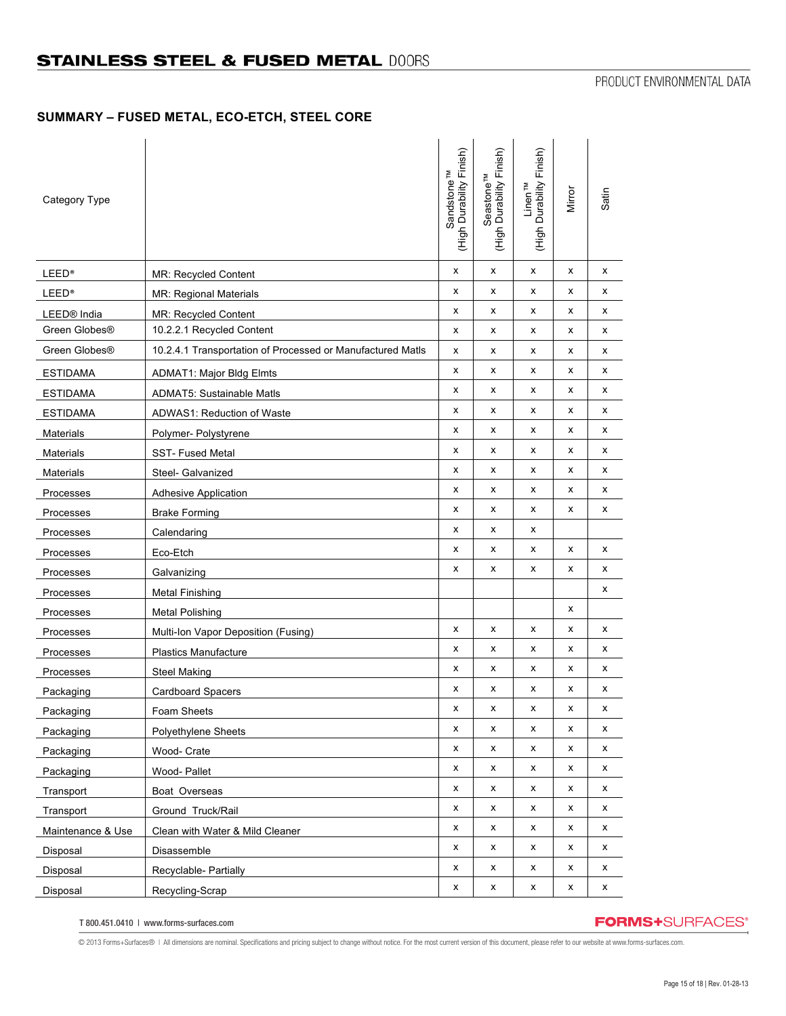## **SUMMARY – FUSED METAL, ECO-ETCH, STEEL CORE**

| Category Type           |                                                            | (High Durability Finish)<br>Sandstone <sup>TM</sup> | (High Durability Finish)<br>Seastone <sup>TM</sup> | Linen™<br>(High Durability Finish) | Mirror | Satin |
|-------------------------|------------------------------------------------------------|-----------------------------------------------------|----------------------------------------------------|------------------------------------|--------|-------|
| <b>LEED®</b>            | MR: Recycled Content                                       | x                                                   | x                                                  | x                                  | х      | x     |
| <b>LEED®</b>            | MR: Regional Materials                                     | X                                                   | x                                                  | x                                  | x      | х     |
| LEED <sup>®</sup> India | MR: Recycled Content                                       | x                                                   | x                                                  | x                                  | x      | x     |
| Green Globes®           | 10.2.2.1 Recycled Content                                  | x                                                   | x                                                  | х                                  | x      | х     |
| Green Globes®           | 10.2.4.1 Transportation of Processed or Manufactured Matls | x                                                   | x                                                  | х                                  | x      | х     |
| <b>ESTIDAMA</b>         | <b>ADMAT1: Major Bldg Elmts</b>                            | X                                                   | x                                                  | x                                  | x      | x     |
| <b>ESTIDAMA</b>         | <b>ADMAT5: Sustainable Matls</b>                           | X                                                   | x                                                  | х                                  | x      | x     |
| <b>ESTIDAMA</b>         | ADWAS1: Reduction of Waste                                 | x                                                   | x                                                  | x                                  | х      | х     |
| <b>Materials</b>        | Polymer- Polystyrene                                       | x                                                   | x                                                  | x                                  | x      | x     |
| Materials               | <b>SST-Fused Metal</b>                                     | x                                                   | x                                                  | х                                  | х      | x     |
| Materials               | Steel- Galvanized                                          | X                                                   | x                                                  | х                                  | x      | х     |
| Processes               | <b>Adhesive Application</b>                                | X                                                   | x                                                  | х                                  | x      | x     |
| Processes               | <b>Brake Forming</b>                                       | x                                                   | x                                                  | х                                  | x      | x     |
| Processes               | Calendaring                                                | x                                                   | х                                                  | х                                  |        |       |
| Processes               | Eco-Etch                                                   | x                                                   | x                                                  | x                                  | х      | x     |
| Processes               | Galvanizing                                                | x                                                   | x                                                  | х                                  | x      | х     |
| Processes               | <b>Metal Finishing</b>                                     |                                                     |                                                    |                                    |        | x     |
| Processes               | <b>Metal Polishing</b>                                     |                                                     |                                                    |                                    | x      |       |
| Processes               | Multi-Ion Vapor Deposition (Fusing)                        | x                                                   | x                                                  | х                                  | х      | x     |
| Processes               | Plastics Manufacture                                       | X                                                   | x                                                  | х                                  | x      | x     |
| Processes               | <b>Steel Making</b>                                        | x                                                   | х                                                  | x                                  | х      | x     |
| Packaging               | Cardboard Spacers                                          | x                                                   | x                                                  | х                                  | x      | x     |
| Packaging               | Foam Sheets                                                | X                                                   | x                                                  | X                                  | X      | x     |
| Packaging               | Polyethylene Sheets                                        | x                                                   | x                                                  | х                                  | x      | x     |
| Packaging               | Wood- Crate                                                | x                                                   | x                                                  | x                                  | x      | x     |
| Packaging               | Wood- Pallet                                               | X                                                   | x                                                  | x                                  | х      | x     |
| Transport               | Boat Overseas                                              | x                                                   | x                                                  | x                                  | x      | x     |
| Transport               | Ground Truck/Rail                                          | X                                                   | x                                                  | х                                  | х      | x     |
| Maintenance & Use       | Clean with Water & Mild Cleaner                            | x                                                   | x                                                  | x                                  | х      | x     |
| Disposal                | Disassemble                                                | x                                                   | x                                                  | x                                  | x      | х     |
| Disposal                | Recyclable- Partially                                      | x                                                   | x                                                  | x                                  | x      | x     |
| Disposal                | Recycling-Scrap                                            | X                                                   | x                                                  | x                                  | х      | x     |

T 800.451.0410 | www.forms-surfaces.com

# **FORMS+**SURFACES®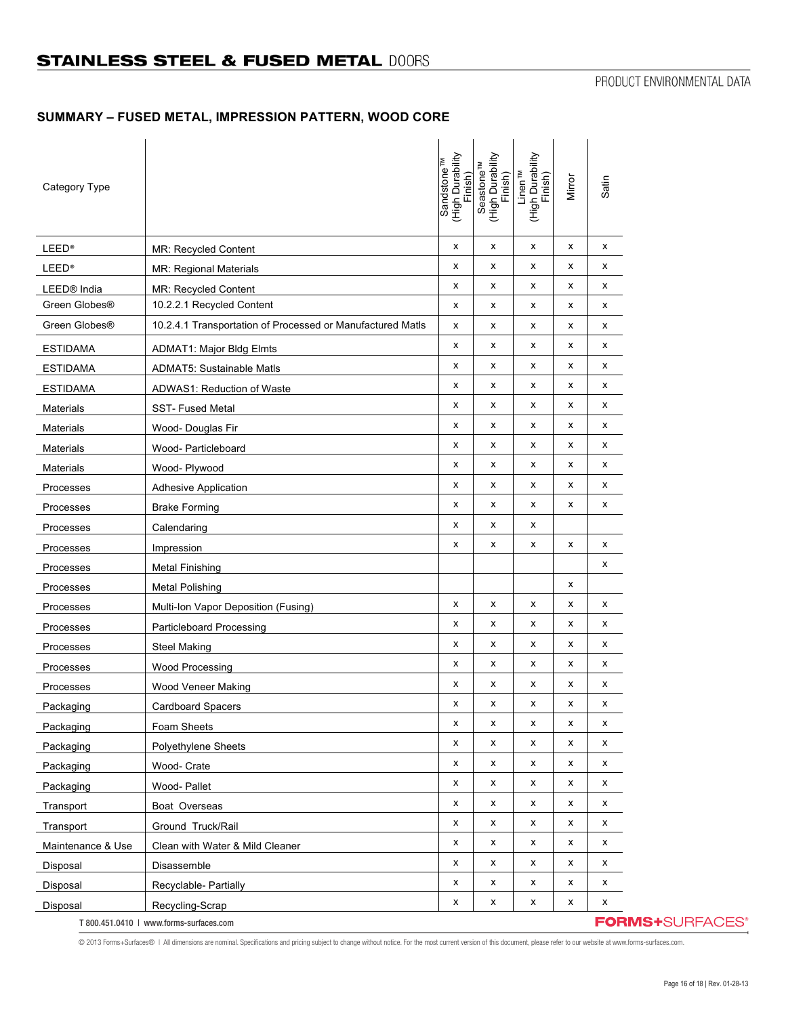# **SUMMARY – FUSED METAL, IMPRESSION PATTERN, WOOD CORE**

| Category Type             |                                                            | Sandstone™<br>(High Durability<br>Finish) | (High Durability<br>Finish)<br>Seastone <sup>TM</sup> | (High Durability<br>Finish)<br>Linen <sup>™</sup> | Mirror | Satin |                         |
|---------------------------|------------------------------------------------------------|-------------------------------------------|-------------------------------------------------------|---------------------------------------------------|--------|-------|-------------------------|
| <b>LEED®</b>              | MR: Recycled Content                                       | x                                         | X                                                     | X                                                 | x      | X     |                         |
| <b>LEED®</b>              | <b>MR: Regional Materials</b>                              | x                                         | x                                                     | X                                                 | x      | x     |                         |
| LEED <sup>®</sup> India   | MR: Recycled Content                                       | x                                         | x                                                     | X                                                 | X      | x     |                         |
| Green Globes <sup>®</sup> | 10.2.2.1 Recycled Content                                  | x                                         | x                                                     | X                                                 | X      | x     |                         |
| Green Globes®             | 10.2.4.1 Transportation of Processed or Manufactured Matls | x                                         | x                                                     | X                                                 | x      | х     |                         |
| <b>ESTIDAMA</b>           | <b>ADMAT1: Major Bldg Elmts</b>                            | х                                         | x                                                     | X                                                 | х      | х     |                         |
| <b>ESTIDAMA</b>           | <b>ADMAT5: Sustainable Matls</b>                           | x                                         | x                                                     | X                                                 | x      | x     |                         |
| <b>ESTIDAMA</b>           | ADWAS1: Reduction of Waste                                 | x                                         | x                                                     | X                                                 | x      | х     |                         |
| <b>Materials</b>          | <b>SST-Fused Metal</b>                                     | х                                         | х                                                     | X                                                 | х      | х     |                         |
| <b>Materials</b>          | Wood- Douglas Fir                                          | x                                         | x                                                     | X                                                 | X      | X     |                         |
| <b>Materials</b>          | Wood- Particleboard                                        | x                                         | x                                                     | X                                                 | X      | х     |                         |
| <b>Materials</b>          | Wood- Plywood                                              | x                                         | x                                                     | X                                                 | х      | х     |                         |
| Processes                 | <b>Adhesive Application</b>                                | x                                         | x                                                     | X                                                 | x      | X     |                         |
| Processes                 | <b>Brake Forming</b>                                       | x                                         | x                                                     | X                                                 | X      | X     |                         |
| Processes                 | Calendaring                                                | x                                         | x                                                     | X                                                 |        |       |                         |
| Processes                 | Impression                                                 | х                                         | x                                                     | X                                                 | x      | x     |                         |
| Processes                 | <b>Metal Finishing</b>                                     |                                           |                                                       |                                                   |        | X     |                         |
| Processes                 | <b>Metal Polishing</b>                                     |                                           |                                                       |                                                   | X      |       |                         |
| Processes                 | Multi-Ion Vapor Deposition (Fusing)                        | x                                         | х                                                     | X                                                 | x      | x     |                         |
| Processes                 | Particleboard Processing                                   | x                                         | x                                                     | X                                                 | x      | x     |                         |
| Processes                 | <b>Steel Making</b>                                        | х                                         | x                                                     | X                                                 | х      | х     |                         |
| Processes                 | Wood Processing                                            | x                                         | x                                                     | X                                                 | x      | X     |                         |
| Processes                 | Wood Veneer Making                                         | x                                         | x                                                     | X                                                 | x      | х     |                         |
| Packaging                 | <b>Cardboard Spacers</b>                                   | x                                         | x                                                     | X                                                 | X      | х     |                         |
| Packaging                 | Foam Sheets                                                | x                                         | X                                                     | X                                                 | X      | X     |                         |
| Packaging                 | Polyethylene Sheets                                        | x                                         | x                                                     | $\pmb{\mathsf{x}}$                                | X      | x     |                         |
| Packaging                 | Wood- Crate                                                | x                                         | x                                                     | X                                                 | X      | x     |                         |
| Packaging                 | Wood- Pallet                                               | x                                         | x                                                     | X                                                 | x      | x     |                         |
| Transport                 | Boat Overseas                                              | X                                         | x                                                     | X                                                 | X      | X     |                         |
| Transport                 | Ground Truck/Rail                                          | x                                         | x                                                     | X                                                 | X      | X     |                         |
| Maintenance & Use         | Clean with Water & Mild Cleaner                            | x                                         | x                                                     | X                                                 | x      | x     |                         |
| Disposal                  | Disassemble                                                | X                                         | X                                                     | X                                                 | x      | x     |                         |
| Disposal                  | Recyclable- Partially                                      | x                                         | x                                                     | X                                                 | X      | x     |                         |
| Disposal                  | Recycling-Scrap                                            | x                                         | X                                                     | X                                                 | X      | X     |                         |
|                           | T 800.451.0410   www.forms-surfaces.com                    |                                           |                                                       |                                                   |        |       | <b>FORMS+</b> SURFACES® |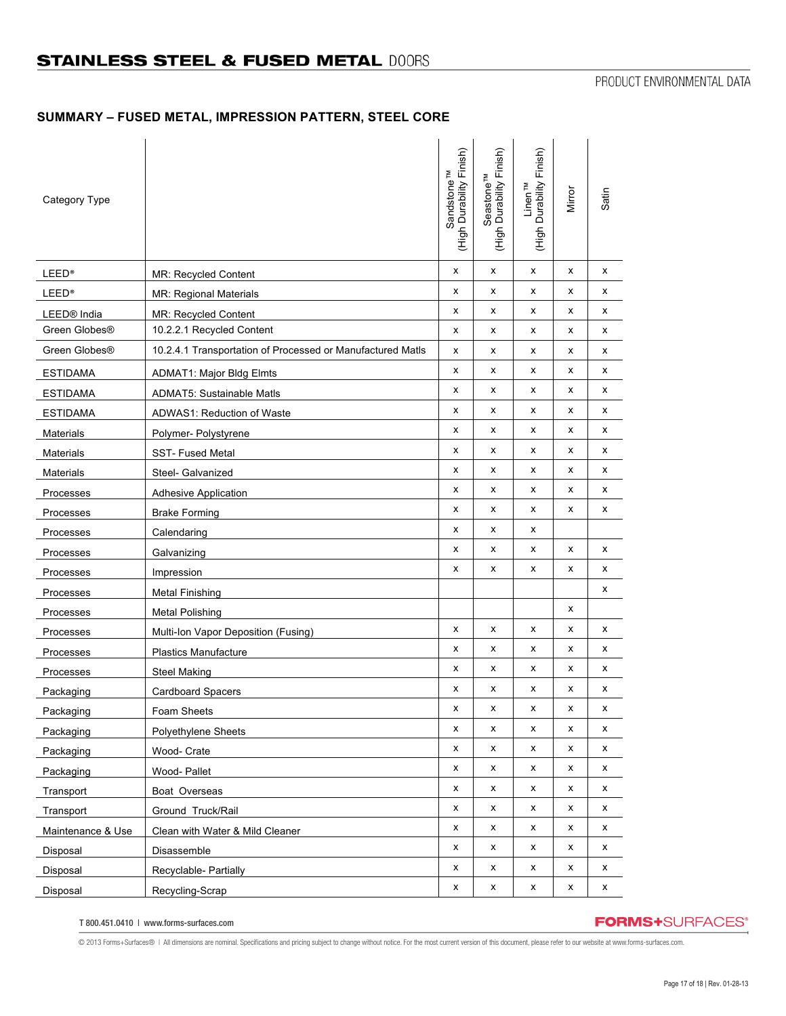## **SUMMARY – FUSED METAL, IMPRESSION PATTERN, STEEL CORE**

| Category Type           |                                                            | (High Durability Finish)<br>Sandstone <sup>TM</sup> | (High Durability Finish)<br>Seastone <sup>TM</sup> | Linen™<br>(High Durability Finish) | Mirror | Satin |
|-------------------------|------------------------------------------------------------|-----------------------------------------------------|----------------------------------------------------|------------------------------------|--------|-------|
| <b>LEED®</b>            | MR: Recycled Content                                       | x                                                   | x                                                  | x                                  | x      | X     |
| <b>LEED®</b>            | MR: Regional Materials                                     | X                                                   | x                                                  | x                                  | x      | х     |
| LEED <sup>®</sup> India | MR: Recycled Content                                       | x                                                   | x                                                  | x                                  | х      | X     |
| Green Globes®           | 10.2.2.1 Recycled Content                                  | x                                                   | x                                                  | х                                  | x      | х     |
| Green Globes®           | 10.2.4.1 Transportation of Processed or Manufactured Matls | x                                                   | x                                                  | х                                  | x      | х     |
| <b>ESTIDAMA</b>         | <b>ADMAT1: Major Bldg Elmts</b>                            | X                                                   | x                                                  | x                                  | x      | х     |
| <b>ESTIDAMA</b>         | <b>ADMAT5: Sustainable Matls</b>                           | X                                                   | x                                                  | x                                  | x      | х     |
| <b>ESTIDAMA</b>         | ADWAS1: Reduction of Waste                                 | x                                                   | x                                                  | x                                  | x      | х     |
| <b>Materials</b>        | Polymer- Polystyrene                                       | X                                                   | x                                                  | x                                  | х      | х     |
| Materials               | <b>SST-Fused Metal</b>                                     | x                                                   | x                                                  | x                                  | x      | x     |
| Materials               | Steel- Galvanized                                          | X                                                   | x                                                  | х                                  | х      | х     |
| Processes               | <b>Adhesive Application</b>                                | X                                                   | x                                                  | х                                  | x      | х     |
| Processes               | <b>Brake Forming</b>                                       | x                                                   | x                                                  | x                                  | x      | x     |
| Processes               | Calendaring                                                | x                                                   | x                                                  | x                                  |        |       |
| Processes               | Galvanizing                                                | x                                                   | x                                                  | x                                  | x      | х     |
| Processes               | Impression                                                 | x                                                   | x                                                  | x                                  | x      | х     |
| Processes               | <b>Metal Finishing</b>                                     |                                                     |                                                    |                                    |        | x     |
| Processes               | <b>Metal Polishing</b>                                     |                                                     |                                                    |                                    | x      |       |
| Processes               | Multi-Ion Vapor Deposition (Fusing)                        | X                                                   | x                                                  | х                                  | х      | х     |
| Processes               | Plastics Manufacture                                       | x                                                   | x                                                  | х                                  | x      | х     |
| Processes               | <b>Steel Making</b>                                        | X                                                   | x                                                  | x                                  | х      | х     |
| Packaging               | <b>Cardboard Spacers</b>                                   | x                                                   | x                                                  | х                                  | x      | х     |
| Packaging               | Foam Sheets                                                | X                                                   | x                                                  | x                                  | X      | X     |
| Packaging               | Polyethylene Sheets                                        | x                                                   | x                                                  | x                                  | х      | х     |
| Packaging               | Wood- Crate                                                | x                                                   | x                                                  | x                                  | x      | x     |
| Packaging               | Wood- Pallet                                               | X                                                   | x                                                  | x                                  | x      | х     |
| Transport               | Boat Overseas                                              | x                                                   | x                                                  | x                                  | x      | х     |
| Transport               | Ground Truck/Rail                                          | x                                                   | x                                                  | x                                  | x      | х     |
| Maintenance & Use       | Clean with Water & Mild Cleaner                            | x                                                   | x                                                  | x                                  | x      | х     |
| Disposal                | Disassemble                                                | x                                                   | x                                                  | x                                  | x      | х     |
| Disposal                | Recyclable- Partially                                      | x                                                   | x                                                  | x                                  | x      | х     |
| Disposal                | Recycling-Scrap                                            | x                                                   | x                                                  | x                                  | x      | x     |

T 800.451.0410 | www.forms-surfaces.com

# **FORMS+**SURFACES®